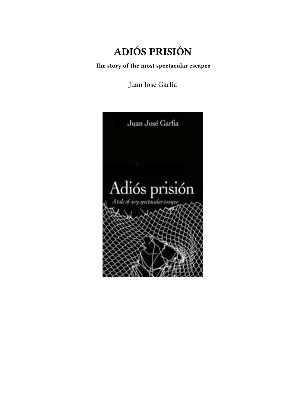# **ADIÓS PRISIÓN**

**The story of the most spectacular escapes**

Juan José Garfia

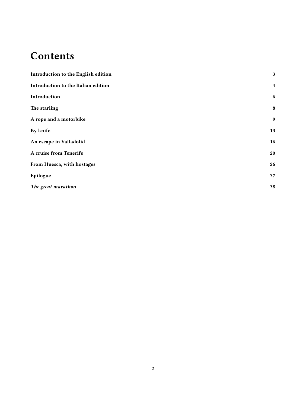# **Contents**

| Introduction to the English edition | 3                       |
|-------------------------------------|-------------------------|
| Introduction to the Italian edition | $\overline{\mathbf{4}}$ |
| Introduction                        | 6                       |
| The starling                        | 8                       |
| A rope and a motorbike              | 9                       |
| By knife                            | 13                      |
| An escape in Valladolid             | 16                      |
| A cruise from Tenerife              | 20                      |
| From Huesca, with hostages          | 26                      |
| Epilogue                            | 37                      |
| The great marathon                  | 38                      |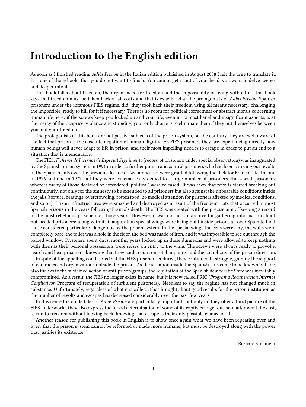### <span id="page-2-0"></span>**Introduction to the English edition**

As soon as I finished reading *Adiós Prisión* in the Italian edition published in August 2008 I felt the urge to translate it. It is one of those books that you do not want to finish. You cannot get it out of your head, you want to delve deeper and deeper into it.

This book talks about freedom, the urgent need for freedom and the impossibility of living without it. This book says that freedom must be taken back at all costs and that is exactly what the protagonists of *Adiós Prisión*, Spanish prisoners under the infamous FIES regime, did: they took back their freedom using all means necessary, challenging the impossible, ready to kill for it if necessary. There is no room for political correctness or abstract morals concerning human life here: if the screws keep you locked up and your life, even in its most banal and insignificant aspects, is at the mercy of their caprice, violence and stupidity, your only choice is to eliminate them if they put themselves between you and your freedom.

The protagonists of this book are not passive subjects of the prison system, on the contrary they are well aware of the fact that prison is the absolute negation of human dignity. As FIES prisoners they are experiencing directly how human beings will never adapt to life in prison, and their most impelling need is to escape in order to put an end to a situation that is unendurable.

The FIES, *Ficheros de Internos de Especial Seguimento* (record of prisoners under special observation) was inaugurated by the Spanish prison system in 1991 in order to further punish and control prisoners who had been carrying out revolts in the Spanish jails over the previous decades. Two amnesties were granted following the dictator Franco's death, one in 1976 and one in 1977, but they were systematically denied to a large number of prisoners, the 'social' prisoners, whereas many of those declared or considered 'political' were released. It was then that revolts started breaking out continuously, not only for the amnesty to be extended to all prisoners but also against the unbearable conditions inside the jails (torture, beatings, overcrowding, rotten food, no medical attention for prisoners affected by medical conditions, and so on). Prison infrastructures were smashed and destroyed as a result of the frequent riots that occurred in most Spanish prisons in the years following Franco's death. The FIES was created with the precise aim of keeping a record of the most rebellious prisoners of those years. However, it was not just an archive for gathering information about hot-headed prisoners: along with its inauguration special wings were being built inside prisons all over Spain to hold those considered particularly dangerous by the prison system. In the special wings the cells were tiny, the walls were completely bare, the toilet was a hole in the floor, the bed was made of iron, and it was impossible to see out through the barred window. Prisoners spent days, months, years locked up in these dungeons and were allowed to keep nothing with them as their personal possessions were seized on entry to the wing. The screws were always ready to provoke, search and beat prisoners, knowing that they could count on total impunity and the complicity of the prison direction.

In spite of the appalling conditions that the FIES prisoners endured, they continued to struggle, gaining the support of comrades and organizations outside the prison. As the situation inside the Spanish jails came to be known outside, also thanks to the sustained action of anti-prison groups, the reputation of the Spanish democratic State was inevitably compromised. As a result, the FIES no longer exists in name, but it is now called PRIC (*Programa Recuperacion Internos Conflictivos,* Program of recuperation of turbulent prisoners). Needless to say the regime has not changed much in substance. Unfortunately, regardless of what it is called, it has brought about good results for the prison institution as the number of revolts and escapes has decreased considerably over the past few years.

In this sense the crude tales of *Adiós Prisión* are particularly important: not only do they offer a lurid picture of the FIES underworld, they also express the fervid determination of some of its captives to get out no matter what the cost, to run to freedom without looking back, knowing that escape is their only possible chance of life.

Another reason for publishing this book in English is to show once again what we have been repeating over and over: that the prison system cannot be reformed or made more humane, but must be destroyed along with the power that justifies its existence.

Barbara Stefanelli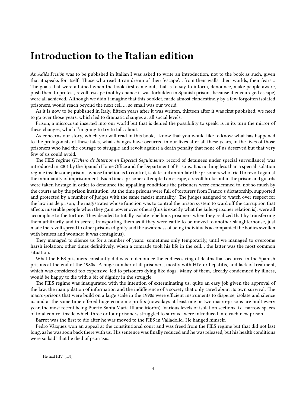#### <span id="page-3-0"></span>**Introduction to the Italian edition**

As *Adiós Prisión* was to be published in Italian I was asked to write an introduction, not to the book as such, given that it speaks for itself. Those who read it can dream of their 'escape'… from their walls, their worlds, their fears… The goals that were attained when the book first came out, that is to say to inform, denounce, make people aware, push them to protest, revolt, escape (not by chance it was forbidden in Spanish prisons because it encouraged escape) were all achieved. Although we didn't imagine that this booklet, made almost clandestinely by a few forgotten isolated prisoners, would reach beyond the next cell … so small was our world.

As it is now to be published in Italy, fifteen years after it was written, thirteen after it was first published, we need to go over those years, which led to dramatic changes at all social levels.

Prison, a microcosm inserted into our world but that is denied the possibility to speak, is in its turn the mirror of these changes, which I'm going to try to talk about.

As concerns our story, which you will read in this book, I know that you would like to know what has happened to the protagonists of these tales, what changes have occurred in our lives after all these years, in the lives of those prisoners who had the courage to struggle and revolt against a death penalty that none of us deserved but that very few of us could avoid.

The FIES regime (*Fichero de Internos en Especial Seguimiento*, record of detainees under special surveillance) was introduced in 2001 by the Spanish Home Office and the Department of Prisons. It is nothing less than a special isolation regime inside some prisons, whose function is to control, isolate and annihilate the prisoners who tried to revolt against the inhumanity of imprisonment. Each time a prisoner attempted an escape, a revolt broke out in the prison and guards were taken hostage in order to denounce the appalling conditions the prisoners were condemned to, not so much by the courts as by the prison institution. At the time prisons were full of torturers from Franco's dictatorship, supported and protected by a number of judges with the same fascist mentality. The judges assigned to watch over respect for the law inside prison, the magistrates whose function was to control the prison system to ward off the corruption that affects miserable people when they gain power over others (this is exactly what the jailer-prisoner relation is), were all accomplice to the torture. They decided to totally isolate rebellious prisoners when they realized that by transferring them arbitrarily and in secret, transporting them as if they were cattle to be moved to another slaughterhouse, just made the revolt spread to other prisons (dignity and the awareness of being individuals accompanied the bodies swollen with bruises and wounds: it was contagious).

They managed to silence us for a number of years: sometimes only temporarily, until we managed to overcome harsh isolation; other times definitively, when a comrade took his life in the cell… the latter was the most common situation.

What the FIES prisoners constantly did was to denounce the endless string of deaths that occurred in the Spanish prisons at the end of the 1980s. A huge number of ill prisoners, mostly with HIV or hepatitis, and lack of treatment, which was considered too expensive, led to prisoners dying like dogs. Many of them, already condemned by illness, would be happy to die with a bit of dignity in the struggle.

The FIES regime was inaugurated with the intention of exterminating us, quite an easy job given the approval of the law, the manipulation of information and the indifference of a society that only cared about its own survival. The macro-prisons that were build on a large scale in the 1990s were efficient instruments to disperse, isolate and silence us and at the same time offered huge economic profits (nowadays at least one or two macro-prisons are built every year, the most recent being Puerto Santa Maria III and Morón). Various levels of isolation sections, i.e. narrow spaces of total control inside which three or four prisoners struggled to survive, were introduced into each new prison.

Barrot was the first to die after he was moved to the FIES in Valladolid. He hanged himself.

Pedro Vázquez won an appeal at the constitutional court and was freed from the FIES regime but that did not last long, as he was soon back there with us. His sentence was finally reduced and he was released, but his health conditions were so bad<sup>1</sup> that he died of psoriasis.

 $1$  He had HIV. [TN]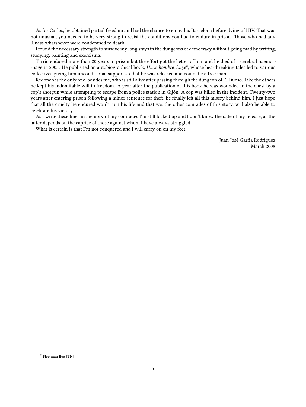As for Carlos, he obtained partial freedom and had the chance to enjoy his Barcelona before dying of HIV. That was not unusual, you needed to be very strong to resist the conditions you had to endure in prison. Those who had any illness whatsoever were condemned to death….

I found the necessary strength to survive my long stays in the dungeons of democracy without going mad by writing, studying, painting and exercising.

Tarrío endured more than 20 years in prison but the effort got the better of him and he died of a cerebral haemorrhage in 2005. He published an autobiographical book, *Huye hombre, huye<sup>2</sup>,* whose heartbreaking tales led to various collectives giving him unconditional support so that he was released and could die a free man.

Redondo is the only one, besides me, who is still alive after passing through the dungeon of El Dueso. Like the others he kept his indomitable will to freedom. A year after the publication of this book he was wounded in the chest by a cop's shotgun while attempting to escape from a police station in Gijón. A cop was killed in the incident. Twenty-two years after entering prison following a minor sentence for theft, he finally left all this misery behind him. I just hope that all the cruelty he endured won't ruin his life and that we, the other comrades of this story, will also be able to celebrate his victory.

As I write these lines in memory of my comrades I'm still locked up and I don't know the date of my release, as the latter depends on the caprice of those against whom I have always struggled.

What is certain is that I'm not conquered and I will carry on on my feet.

Juan José Garfia Rodriguez March 2008

<sup>2</sup> Flee man flee [TN]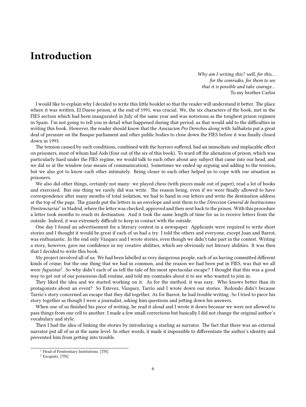### <span id="page-5-0"></span>**Introduction**

*Why am I writing this? well, for this… for the comrades, for them to see that it is possible and take courage…* To my brother Carlos

I would like to explain why I decided to write this little booklet so that the reader will understand it better. The place where it was written, El Dueso prison, at the end of 1991, was crucial. We, the six characters of the book, met in the FIES section which had been inaugurated in July of the same year and was notorious as the toughest prison regimen in Spain. I'm not going to tell you in detail what happened during that period, as that would add to the difficulties in writing this book. However, the reader should know that the *Asociacion Pro Derechos* along with *Salhaketa* put a great deal of pressure on the Basque parliament and other public bodies to close down the FIES before it was finally closed down in 1993.

The tension caused by such conditions, combined with the horrors suffered, had an immediate and implacable effect on prisoners, most of whom had Aids (four out of the six of this book). To ward off the alienation of prison, which was particularly hard under the FIES regime, we would talk to each other about any subject that came into our head, and we did so at the window (our means of communication). Sometimes we ended up arguing and adding to the tension, but we also got to know each other intimately. Being closer to each other helped us to cope with our situation as prisoners.

We also did other things, certainly not many: we played chess (with pieces made out of paper), read a lot of books and exercised. But one thing we rarely did was write. The reason being, even if we were finally allowed to have correspondence after many months of total isolation, we had to hand in our letters and write the destination address at the top of the page. The guards put the letters in an envelope and sent them to the *Direccion General de Instituciones* Penitenciarias<sup>1</sup> in Madrid, where the letter was checked, approved and then sent back to the prison. With this procedure a letter took months to reach its destination. And it took the same length of time for us to receive letters from the outside. Indeed, it was extremely difficult to keep in contact with the outside.

One day I found an advertisement for a literary contest in a newspaper. Applicants were required to write short stories and I thought it would be great if each of us had a try. I told the others and everyone, except Juan and Barrot, was enthusiastic. In the end only Vázquez and I wrote stories, even though we didn't take part in the contest. Writing a story, however, gave me confidence in my creative abilities, which are obviously not literary abilities. It was then that I decided to write this book.

My project involved all of us. We had been labelled as very dangerous people, each of us having committed different kinds of crime; but the one thing that we had in common, and the reason we had been put in FIES, was that we all were *fuguistas<sup>2</sup>*. So why didn't each of us tell the tale of his most spectacular escape? I thought that this was a good way to get out of our poisonous dull routine, and told my comrades about it to see who wanted to join in.

They liked the idea and we started working on it. As for the method, it was easy. Who knows better than its protagonists about an event? So Estevez, Vázquez, Tarrío and I wrote down our stories. Redondo didn't because Tarrío's story concerned an escape that they did together. As for Barrot, he had trouble writing. So I tried to piece his story together as though I were a journalist, asking him questions and jotting down his answers.

When one of us finished his piece of writing, he read it aloud and I wrote it down because we were not allowed to pass things from one cell to another. I made a few small corrections but basically I did not change the original author's vocabulary and style.

Then I had the idea of linking the stories by introducing a starling as narrator. The fact that there was an external narrator put all of us at the same level. In other words, it made it impossible to differentiate the author's identity and prevented him from getting into trouble.

<sup>&</sup>lt;sup>1</sup> Head of Penitentiary Institutions. [TN]

<sup>&</sup>lt;sup>2</sup> Escapists. [TN]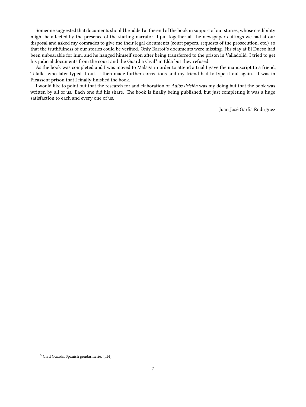Someone suggested that documents should be added at the end of the book in support of our stories, whose credibility might be affected by the presence of the starling narrator. I put together all the newspaper cuttings we had at our disposal and asked my comrades to give me their legal documents (court papers, requests of the prosecution, etc.) so that the truthfulness of our stories could be verified. Only Barrot's documents were missing. His stay at El Dueso had been unbearable for him, and he hanged himself soon after being transferred to the prison in Valladolid. I tried to get his judicial documents from the court and the Guardia Civil<sup>3</sup> in Elda but they refused.

As the book was completed and I was moved to Malaga in order to attend a trial I gave the manuscript to a friend, Tafalla, who later typed it out. I then made further corrections and my friend had to type it out again. It was in Picassent prison that I finally finished the book.

I would like to point out that the research for and elaboration of *Adiós Prisión* was my doing but that the book was written by all of us. Each one did his share. The book is finally being published, but just completing it was a huge satisfaction to each and every one of us.

Juan José Garfia Rodriguez

<sup>3</sup> Civil Guards, Spanish gendarmerie. [TN]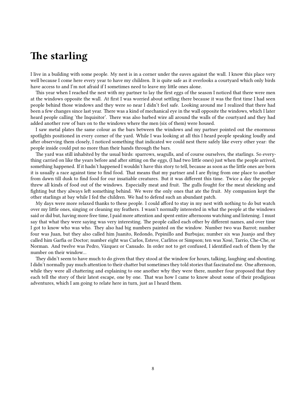### <span id="page-7-0"></span>**The starling**

I live in a building with some people. My nest is in a corner under the eaves against the wall. I know this place very well because I come here every year to have my children. It is quite safe as it overlooks a courtyard which only birds have access to and I'm not afraid if I sometimes need to leave my little ones alone.

This year when I reached the nest with my partner to lay the first eggs of the season I noticed that there were men at the windows opposite the wall. At first I was worried about settling there because it was the first time I had seen people behind those windows and they were so near I didn't feel safe. Looking around me I realized that there had been a few changes since last year. There was a kind of mechanical eye in the wall opposite the windows, which I later heard people calling 'the Inquisitor'. There was also barbed wire all around the walls of the courtyard and they had added another row of bars on to the windows where the men (six of them) were housed.

I saw metal plates the same colour as the bars between the windows and my partner pointed out the enormous spotlights positioned in every corner of the yard. While I was looking at all this I heard people speaking loudly and after observing them closely, I noticed something that indicated we could nest there safely like every other year: the people inside could put no more than their hands through the bars.

The yard was still inhabited by the usual birds: sparrows, seagulls, and of course ourselves, the starlings. So everything carried on like the years before and after sitting on the eggs, (I had two little ones) just when the people arrived, something happened. If it hadn't happened I wouldn't have this story to tell, because as soon as the little ones are born it is usually a race against time to find food. That means that my partner and I are flying from one place to another from dawn till dusk to find food for our insatiable creatures. But it was different this time. Twice a day the people threw all kinds of food out of the windows. Especially meat and fruit. The gulls fought for the meat shrieking and fighting but they always left something behind. We were the only ones that ate the fruit. My companion kept the other starlings at bay while I fed the children. We had to defend such an abundant patch.

My days were more relaxed thanks to these people. I could afford to stay in my nest with nothing to do but watch over my little ones, singing or cleaning my feathers. I wasn't normally interested in what the people at the windows said or did but, having more free time, I paid more attention and spent entire afternoons watching and listening. I must say that what they were saying was very interesting. The people called each other by different names, and over time I got to know who was who. They also had big numbers painted on the window. Number two was Barrot; number four was Juan, but they also called him Juanito, Redondo, Pepinillo and Burbujas; number six was Juanjo and they called him Garfia or Doctor; number eight was Carlos, Esteve, Carlitos or Simpson; ten was Xosé, Tarrío, Che-Che, or Norman. And twelve was Pedro, Vázquez or Cansado. In order not to get confused, I identified each of them by the number on their window…

They didn't seem to have much to do given that they stood at the window for hours, talking, laughing and shouting. I didn't normally pay much attention to their chatter but sometimes they told stories that fascinated me. One afternoon, while they were all chattering and explaining to one another why they were there, number four proposed that they each tell the story of their latest escape, one by one. That was how I came to know about some of their prodigious adventures, which I am going to relate here in turn, just as I heard them.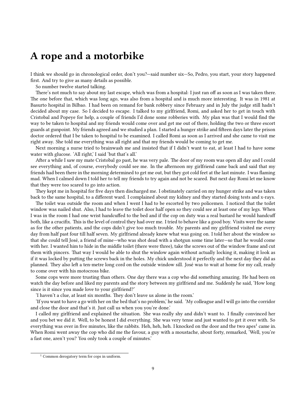### <span id="page-8-0"></span>**A rope and a motorbike**

I think we should go in chronological order, don't you?—said number six—So, Pedro, you start, your story happened first. And try to give as many details as possible.

So number twelve started talking.

There's not much to say about my last escape, which was from a hospital: I just ran off as soon as I was taken there. The one before that, which was long ago, was also from a hospital and is much more interesting. It was in 1981 at Basurto hospital in Bilbao. I had been on remand for bank robbery since February and in July the judge still hadn't decided about my case. So I decided to escape. I talked to my girlfriend, Romi, and asked her to get in touch with Cristobal and Popeye for help, a couple of friends I'd done some robberies with. My plan was that I would find the way to be taken to hospital and my friends would come over and get me out of there, holding the two or three escort guards at gunpoint. My friends agreed and we studied a plan. I started a hunger strike and fifteen days later the prison doctor ordered that I be taken to hospital to be examined. I called Romi as soon as I arrived and she came to visit me right away. She told me everything was all right and that my friends would be coming to get me.

Next morning a nurse tried to brainwash me and insisted that if I didn't want to eat, at least I had to have some water with glucose. 'All right,' I said 'but that's all.'

After a while I saw my mate Cristobal go past, he was very pale. The door of my room was open all day and I could see everything and, of course, everybody could see me. In the afternoon my girlfriend came back and said that my friends had been there in the morning determined to get me out, but they got cold feet at the last minute. I was flaming mad. When I calmed down I told her to tell my friends to try again and not be scared. But next day Romi let me know that they were too scared to go into action.

They kept me in hospital for five days then discharged me. I obstinately carried on my hunger strike and was taken back to the same hospital, to a different ward. I complained about my kidney and they started doing tests and x-rays.

The toilet was outside the room and when I went I had to be escorted by two policemen. I noticed that the toilet window was nailed shut. Also, I had to leave the toilet door half open so they could see at least one of my legs. When I was in the room I had one wrist handcuffed to the bed and if the cop on duty was a real bastard he would handcuff both, like a crucifix. This is the level of control they had over me. I tried to behave like a good boy. Visits were the same as for the other patients, and the cops didn't give too much trouble. My parents and my girlfriend visited me every day from half past four till half seven. My girlfriend already knew what was going on. I told her about the window so that she could tell José, a friend of mine—who was shot dead with a shotgun some time later—so that he would come with her. I wanted him to hide in the middle toilet (there were three), take the screws out of the window frame and cut them with pincers. That way I would be able to shut the window again without actually locking it, making it look as if it was locked by putting the screws back in the holes. My chick understood it perfectly and the next day they did as planned. They also left a ten-metre long cord on the outside window sill. José was to wait at home for my call, ready to come over with his motocross bike.

Some cops were more trusting than others. One day there was a cop who did something amazing. He had been on watch the day before and liked my parents and the story between my girlfriend and me. Suddenly he said, 'How long since is it since you made love to your girlfriend?'

'I haven't a clue, at least six months. They don't leave us alone in the room.'

'If you want to have a go with her on the bed that's no problem,' he said. 'My colleague and I will go into the corridor and close the door and that's it. Just call us when you you're done.'

I called my girlfriend and explained the situation. She was really shy and didn't want to. I finally convinced her and you bet we did it. Well, to be honest I did everything. She was very tense and just wanted to get it over with. So everything was over in five minutes, like the rabbits. Heh, heh, heh. I knocked on the door and the two apes<sup>1</sup> came in. When Romi went away the cop who did me the favour, a guy with a moustache, about forty, remarked, 'Well, you're a fast one, aren't you? You only took a couple of minutes.'

 $1$  Common derogatory term for cops in uniform.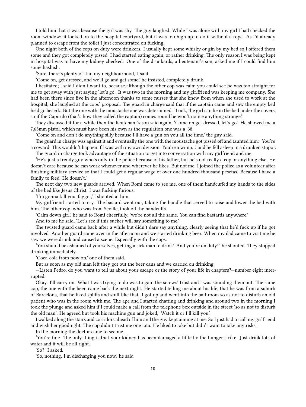I told him that it was because the girl was shy. The guy laughed. While I was alone with my girl I had checked the room window: it looked on to the hospital courtyard, but it was too high up to do it without a rope. As I'd already planned to escape from the toilet I just concentrated on fucking.

One night both of the cops on duty were drinkers. I usually kept some whisky or gin by my bed so I offered them some and they got completely pissed. I had started eating again, or rather drinking. The only reason I was being kept in hospital was to have my kidney checked. One of the drunkards, a lieutenant's son, asked me if I could find him some hashish.

'Sure, there's plenty of it in my neighbourhood,' I said.

'Come on, get dressed, and we'll go and get some,' he insisted, completely drunk.

I hesitated; I said I didn't want to, because although the other cop was calm you could see he was too straight for me to get away with just saying 'let's go'. It was two in the morning and my girlfriend was keeping me company. She had been there since five in the afternoon thanks to some nurses that she knew from when she used to work at the hospital; she laughed at the cops' proposal. The guard in charge said that if the captain came and saw the empty bed he'd go beserk. But the one with the moustache one was determined. 'Look, the girl can lie in the bed under the covers, so if the Capirulo (that's how they called the captain) comes round he won't notice anything strange.'

They discussed it for a while then the lieutenant's son said again, 'Come on get dressed, let's go.' He showed me a 7.65mm pistol, which must have been his own as the regulation one was a .38.

'Come on and don't do anything silly because I'll have a gun on you all the time,' the guy said.

The guard in charge was against it and eventually the one with the moustache got pissed off and taunted him: 'You're a coward. This wouldn't happen if I was with my own division. You're a wimp…' and he fell asleep in a drunken stupor. The guard in charge took advantage of the situation to get into conversation with my girlfriend and me.

'He's just a trendy guy who's only in the police because of his father, but he's not really a cop or anything else. He doesn't care because he can work whenever and wherever he likes. But not me. I joined the police as a volunteer after finishing military service so that I could get a regular wage of over one hundred thousand pesetas. Because I have a family to feed. He doesn't.'

The next day two new guards arrived. When Romi came to see me, one of them handcuffed my hands to the sides of the bed like Jesus Christ. I was fucking furious.

'I'm gonna kill you, faggot,' I shouted at him.

My girlfriend started to cry. The bastard went out, taking the handle that served to raise and lower the bed with him. The other cop, who was from Seville, took off the handcuffs.

'Calm down girl,' he said to Romi cheerfully, 'we're not all the same. You can find bastards anywhere.'

And to me he said, 'Let's see if this sucker will say something to me.'

The twisted guard came back after a while but didn't dare say anything, clearly seeing that he'd fuck up if he got involved. Another guard came over in the afternoon and we started drinking beer. When my dad came to visit me he saw we were drunk and caused a scene. Especially with the cops.

'You should be ashamed of yourselves, getting a sick man to drink! And you're on duty!' he shouted. They stopped drinking immediately.

'Coca-cola from now on,' one of them said.

But as soon as my old man left they got out the beer cans and we carried on drinking.

—Listen Pedro, do you want to tell us about your escape or the story of your life in chapters?—number eight interrupted.

Okay. I'll carry on. What I was trying to do was to gain the screws' trust and I was sounding them out. The same cop, the one with the beer, came back the next night. He started telling me about his life, that he was from a suburb of Barcelona, that he liked spliffs and stuff like that. I got up and went into the bathroom so as not to disturb an old patient who was in the room with me. The ape and I started chatting and drinking and around two in the morning I took the plunge and asked him if I could make a call from the telephone box outside in the street 'so as not to disturb the old man'. He agreed but took his machine gun and joked, 'Watch it or I'll kill you.'

I walked along the stairs and corridors ahead of him and the guy kept aiming at me. So I just had to call my girlfriend and wish her goodnight. The cop didn't trust me one iota. He liked to joke but didn't want to take any risks.

In the morning the doctor came to see me.

'You're fine. The only thing is that your kidney has been damaged a little by the hunger strike. Just drink lots of water and it will be all right.'

'So?' I asked.

'So, nothing. I'm discharging you now,' he said.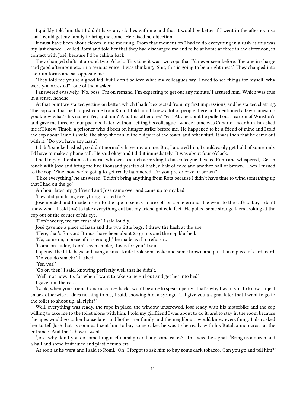I quickly told him that I didn't have any clothes with me and that it would be better if I went in the afternoon so that I could get my family to bring me some. He raised no objection.

It must have been about eleven in the morning. From that moment on I had to do everything in a rush as this was my last chance. I called Romi and told her that they had discharged me and to be at home at three in the afternoon, in contact with José, because I'd be calling back.

They changed shifts at around two o'clock. This time it was two cops that I'd never seen before. The one in charge said good afternoon etc. in a serious voice. I was thinking, 'Shit, this is going to be a right mess.' They changed into their uniforms and sat opposite me.

'They told me you're a good lad, but I don't believe what my colleagues say. I need to see things for myself; why were you arrested?' one of them asked.

I answered evasively, 'No, boss. I'm on remand, I'm expecting to get out any minute,' I assured him. Which was true in a sense, hehehe!

At that point we started getting on better, which I hadn't expected from my first impressions, and he started chatting. The cop said that he had just come from Rota. I told him I knew a lot of people there and mentioned a few names: do you know what's his name? Yes, and him? And this other one? Yes‼ At one point he pulled out a carton of Winston's and gave me three or four packets. Later, without letting his colleague—whose name was Canario—hear him, he asked me if I knew Timoli, a prisoner who'd been on hunger strike before me. He happened to be a friend of mine and I told the cop about Timoli's wife, the shop she ran in the old part of the town, and other stuff. It was then that he came out with it: 'Do you have any hash?'

I didn't smoke hashish, so didn't normally have any on me. But, I assured him, I could easily get hold of some, only I'd have to make a phone call. He said okay and I did it immediately. It was about four o'clock.

I had to pay attention to Canario, who was a snitch according to his colleague. I called Romi and whispered, 'Get in touch with José and bring me five thousand pesetas of hash, a half of coke and another half of brown.' Then I turned to the cop, 'Fine, now we're going to get really hammered. Do you prefer coke or brown?'

'I like everything,' he answered, 'I didn't bring anything from Rota because I didn't have time to wind something up that I had on the go.'

An hour later my girlfriend and José came over and came up to my bed.

'Hey, did you bring everything I asked for?'

José nodded and I made a sign to the ape to send Canario off on some errand. He went to the café to buy I don't know what. I told José to take everything out but my friend got cold feet. He pulled some strange faces looking at the cop out of the corner of his eye.

'Don't worry, we can trust him,' I said loudly.

José gave me a piece of hash and the two little bags. I threw the hash at the ape.

'Here, that's for you.' It must have been about 25 grams and the cop blushed.

'No, come on, a piece of it is enough,' he made as if to refuse it.

'Come on buddy, I don't even smoke, this is for you,' I said.

I opened the little bags and using a small knife took some coke and some brown and put it on a piece of cardboard. 'Do you do smack?' I asked.

'Yes, yes!'

'Go on then,' I said, knowing perfectly well that he didn't.

'Well, not now, it's for when I want to take some girl out and get her into bed.'

I gave him the card.

'Look, when your friend Canario comes back I won't be able to speak openly. That's why I want you to know I inject smack otherwise it does nothing to me,' I said, showing him a syringe. 'I'll give you a signal later that I want to go to the toilet to shoot up, all right?'

Well, everything was ready, the rope in place, the window unscrewed, José ready with his motorbike and the cop willing to take me to the toilet alone with him. I told my girlfriend I was about to do it, and to stay in the room because the apes would go to her house later and bother her family and the neighbours would know everything. I also asked her to tell José that as soon as I sent him to buy some cakes he was to be ready with his Butalco motocross at the entrance. And that's how it went.

'José, why don't you do something useful and go and buy some cakes?' This was the signal. 'Bring us a dozen and a half and some fruit juice and plastic tumblers.'

As soon as he went and I said to Romi, 'Oh! I forgot to ask him to buy some dark tobacco. Can you go and tell him?'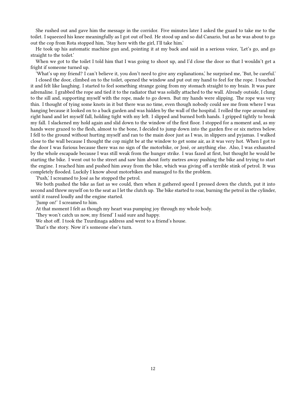She rushed out and gave him the message in the corridor. Five minutes later I asked the guard to take me to the toilet. I squeezed his knee meaningfully as I got out of bed. He stood up and so did Canario, but as he was about to go out the cop from Rota stopped him, 'Stay here with the girl, I'll take him.'

He took up his automatic machine gun and, pointing it at my back and said in a serious voice, 'Let's go, and go straight to the toilet.'

When we got to the toilet I told him that I was going to shoot up, and I'd close the door so that I wouldn't get a fright if someone turned up.

'What's up my friend? I can't believe it, you don't need to give any explanations,' he surprised me, 'But, be careful.' I closed the door, climbed on to the toilet, opened the window and put out my hand to feel for the rope. I touched it and felt like laughing. I started to feel something strange going from my stomach straight to my brain. It was pure adrenaline. I grabbed the rope and tied it to the radiator that was solidly attached to the wall. Already outside, I clung to the sill and, supporting myself with the rope, made to go down. But my hands were slipping. The rope was very thin. I thought of tying some knots in it but there was no time, even though nobody could see me from where I was hanging because it looked on to a back garden and was hidden by the wall of the hospital. I rolled the rope around my right hand and let myself fall, holding tight with my left. I slipped and burned both hands. I gripped tightly to break my fall. I slackened my hold again and slid down to the window of the first floor. I stopped for a moment and, as my hands were grazed to the flesh, almost to the bone, I decided to jump down into the garden five or six metres below. I fell to the ground without hurting myself and ran to the main door just as I was, in slippers and pyjamas. I walked close to the wall because I thought the cop might be at the window to get some air, as it was very hot. When I got to the door I was furious because there was no sign of the motorbike, or José, or anything else. Also, I was exhausted by the whole escapade because I was still weak from the hunger strike. I was fazed at first, but thought he would be starting the bike. I went out to the street and saw him about forty metres away pushing the bike and trying to start the engine. I reached him and pushed him away from the bike, which was giving off a terrible stink of petrol. It was completely flooded. Luckily I know about motorbikes and managed to fix the problem.

'Push,' I screamed to José as he stopped the petrol.

We both pushed the bike as fast as we could, then when it gathered speed I pressed down the clutch, put it into second and threw myself on to the seat as I let the clutch up. The bike started to roar, burning the petrol in the cylinder, until it roared loudly and the engine started.

'Jump on!' I screamed to him.

At that moment I felt as though my heart was pumping joy through my whole body.

'They won't catch us now, my friend' I said sure and happy.

We shot off. I took the Txurdinaga address and went to a friend's house.

That's the story. Now it's someone else's turn.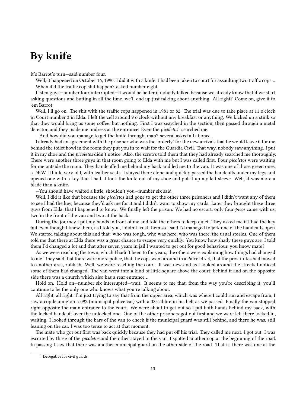## <span id="page-12-0"></span>**By knife**

It's Barrot's turn—said number four.

Well, it happened on October 16, 1990. I did it with a knife. I had been taken to court for assaulting two traffic cops… When did the traffic cop shit happen? asked number eight.

Listen guys—number four interrupted—it would be better if nobody talked because we already know that if we start asking questions and butting in all the time, we'll end up just talking about anything. All right? Come on, give it to 'em Barrot.

Well, I'll go on. The shit with the traffic cops happened in 1981 or 82. The trial was due to take place at 11 o'clock in Court number 3 in Elda. I left the cell around 9 o'clock without any breakfast or anything. We kicked up a stink so that they would bring us some coffee, but nothing. First I was searched in the section, then passed through a metal detector, and they made me undress at the entrance. Even the *picoletos*<sup>1</sup> searched me.

—And how did you manage to get the knife through, man? several asked all at once.

I already had an agreement with the prisoner who was the 'orderly' for the new arrivals that he would leave it for me behind the toilet bowl in the room they put you in to wait for the Guardia Civil. That way, nobody saw anything. I put it in my shoe and the *picoletos* didn't notice. Also, the screws told them that they had already searched me thoroughly. There were another three guys in that room going to Elda with me but I was called first. Four *picoletos* were waiting for me outside the room. They handcuffed me behind my back and led me to the van. It was one of those green ones, a DKW I think, very old, with leather seats. I stayed there alone and quickly passed the handcuffs under my legs and opened one with a key that I had. I took the knife out of my shoe and put it up my left sleeve. Well, it was more a blade than a knife.

—You should have waited a little, shouldn't you—number six said.

Well, I did it like that because the *picoletos* had gone to get the other three prisoners and I didn't want any of them to see I had the key, because they'd ask me for it and I didn't want to show my cards. Later they brought these three guys from Elda, that I happened to know. We finally left the prison. We had no escort, only four *picos* came with us, two in the front of the van and two at the back.

During the journey I put my hands in front of me and told the others to keep quiet. They asked me if I had the key but even though I knew them, as I told you, I didn't trust them so I said I'd managed to jerk one of the handcuffs open. We started talking about this and that: who was tough, who was here, who was there, the usual stories. One of them told me that there at Elda there was a great chance to escape very quickly. You know how shady these guys are. I told them I'd changed a lot and that after seven years in jail I wanted to get out for good behaviour, you know mate?

As we were reaching the town, which I hadn't been to for years, the others were explaining how things had changed to me. They said that there were more police, that the cops went around in a Patrol 4 x 4, that the prostitutes had moved to another area, rubbish…Well, we were reaching the court. It was new and as I looked around the streets I noticed some of them had changed. The van went into a kind of little square above the court; behind it and on the opposite side there was a church which also has a rear entrance…

Hold on. Hold on—number six interrupted—wait. It seems to me that, from the way you're describing it, you'll continue to be the only one who knows what you're talking about.

All right, all right. I'm just trying to say that from the upper area, which was where I could run and escape from, I saw a cop leaning on a 092 (municipal police car) with a 38-calibre in his belt as we passed. Finally the van stopped right opposite the main entrance to the court. We were about to get out so I put both hands behind my back, with the locked handcuff over the unlocked one. One of the other prisoners got out first and we were left there locked in, waiting. I looked through the bars of the van to check if the municipal guard was still behind, and there he was, still leaning on the car. I was too tense to act at that moment.

The mate who got out first was back quickly because they had put off his trial. They called me next. I got out. I was escorted by three of the *picoletos* and the other stayed in the van. I spotted another cop at the beginning of the road. In passing I saw that there was another municipal guard on the other side of the road. That is, there was one at the

<sup>&</sup>lt;sup>1</sup> Derogative for civil guards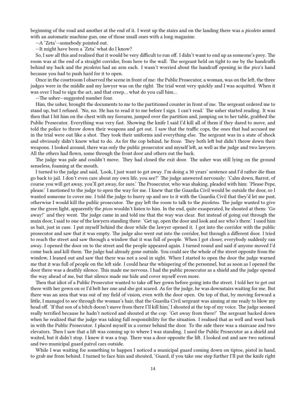beginning of the road and another at the end of it. I went up the stairs and on the landing there was a *picoleto* armed with an automatic machine gun, one of those small ones with a long magazine.

—A 'Zeta'—somebody pointed out.

—It might have been a 'Zeta' what do I know?

So, I saw all this and realised that it would be very difficult to run off. I didn't want to end up as someone's prey. The room was at the end of a straight corridor, from here to the wall. The sergeant held on tight to me by the handcuffs behind my back and the *picoletos* had an arm each. I wasn't worried about the handcuff opening in the *pico*'s hand because you had to push hard for it to open.

Once in the courtroom I observed the scene in front of me: the Public Prosecutor, a woman, was on the left, the three judges were in the middle and my lawyer was on the right. The trial went very quickly and I was acquitted. When it was over I had to sign the act, and that creep… what do you call him…

—The usher—suggested number four.

Him, the usher, brought the documents to me to the partitioned counter in front of me. The sergeant ordered me to stand up, but I refused. 'No, no. He has to read it to me before I sign. I can't read.' The usher started reading. It was then that I hit him on the chest with my forearm, jumped over the partition and, jumping on to her table, grabbed the Public Prosecutor. Everything was very fast. Showing the knife I said I'd kill all of them if they dared to move, and told the police to throw down their weapons and get out. I saw that the traffic cops, the ones that had accused me in the trial were out like a shot. They took their uniforms and everything else. The sergeant was in a state of shock and obviously didn't know what to do. As for the cop behind, he froze. They both left but didn't throw down their weapons. I looked around, there was only the public prosecutor and myself left, as well as the judge and two lawyers. All the others had flown, some through the front door and others out the back.

The judge was pale and couldn't move. They had closed the exit door. The usher was still lying on the ground senseless, foaming at the mouth.

I turned to the judge and said, 'Look, I just want to get away. I'm doing a 30 years' sentence and I'd rather die than go back to jail. I don't even care about my own life, you see?' The judge answered nervously: 'Calm down, Barrot, of course you will get away, you'll get away, for sure.' The Prosecutor, who was shaking, pleaded with him: 'Please Pepe, please.' I motioned to the judge to open the way for me. I knew that the Guardia Civil would be outside the door, so I wanted someone to cover me. I told the judge to hurry up and see to it with the Guardia Civil that they'd let me past, otherwise I would kill the public prosecutor. The guy left the room to talk to the *picoletos*. The judge wanted to give me the green light, apparently the *picos* wouldn't listen to him. In the end, quite exasperated, he shouted at them: 'Go away!' and they went. The judge came in and told me that the way was clear. But instead of going out through the main door, I said to one of the lawyers standing there: 'Get up, open the door and look and see who's there.' I used him as bait, just in case. I put myself behind the door while the lawyer opened it. I got into the corridor with the public prosecutor and saw that it was empty. The judge also went out into the corridor, but through a different door. I tried to reach the street and saw through a window that it was full of people. When I got closer, everybody suddenly ran away. I opened the door on to the street and the people appeared again. I turned round and said if anyone moved I'd come back and kill them. The judge had already gone outside. You could see the whole of the street opposite from the window, I leaned out and saw that there was not a soul in sight. When I started to open the door the judge warned me that it was full of people on the left side. I could hear the whispering of the personnel, but as soon as I opened the door there was a deathly silence. This made me nervous. I had the public prosecutor as a shield and the judge opened the way ahead of me, but that silence made me hide and cover myself even more.

Then that idiot of a Public Prosecutor wanted to take off her gown before going into the street. I told her to get out there with her gown on or I'd belt her one and she got scared. As for the judge, he was downstairs waiting for me. But there was an area that was out of my field of vision, even with the door open. On top of that, by moving forward a little, I managed to see through the woman's hair, that the Guardia Civil sergeant was aiming at me ready to blow my head off. 'If that son of a bitch doesn't move from there I'll kill him,' I shouted at the top of my voice. The judge seemed really terrified because he hadn't noticed and shouted at the cop: 'Get away from there!' The sergeant backed down when he realized that the judge was taking full responsibility for the situation. I realised that as well and went back in with the Public Prosecutor. I placed myself in a corner behind the door. To the side there was a staircase and two elevators. Then I saw that a lift was coming up to where I was standing. I used the Public Prosecutor as a shield and waited, but it didn't stop. I knew it was a trap. There was a door opposite the lift. I looked out and saw two national and two municipal guard patrol cars outside.

While I was waiting for something to happen I noticed a municipal guard coming down on tiptoe, pistol in hand, to grab me from behind. I turned to face him and shouted, 'Guard, if you take one step further I'll put the knife right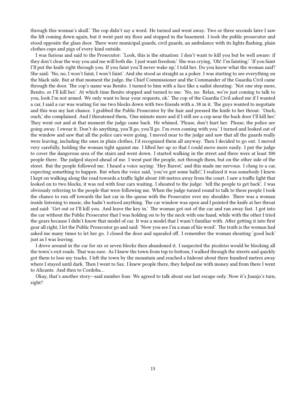through this woman's skull.' The cop didn't say a word. He turned and went away. Two or three seconds later I saw the lift coming down again, but it went past my floor and stopped in the basement. I took the public prosecutor and stood opposite the glass door. There were municipal guards, civil guards, an ambulance with its lights flashing, plain clothes cops and pigs of every kind outside.

I was furious and said to the Prosecutor: 'Look, this is the situation: I don't want to kill you but be well aware: if they don't clear the way you and me will both die. I just want freedom.' She was crying, 'Oh! I'm fainting.' 'If you faint I'll put the knife right through you. If you faint you'll never wake up,' I told her. Do you know what the woman said? She said: 'No, no, I won't faint, I won't faint.' And she stood as straight as a poker. I was starting to see everything on the black side. But at that moment the judge, the Chief Commissioner and the Commander of the Guardia Civil came through the door. The cop's name was Benito. I turned to him with a face like a sadist shouting: 'Not one step more, Benito, or I'll kill her.' At which time Benito stopped and turned to me: 'No, no. Relax, we're just coming to talk to you, look I'm not armed. We only want to hear your requests, ok.' The cop of the Guardia Civil asked me if I wanted a car, I said a car was waiting for me two blocks down with two friends with a .38 in it. The guys wanted to negotiate and this was my last chance. I grabbed the Public Prosecutor by the hair and pressed the knife to her throat. 'Ouch, ouch,' she complained. And I threatened them, 'One minute more and if I still see a cop near the back door I'll kill her.' They went out and at that moment the judge came back. He whined, 'Please, don't hurt her. Please, the police are going away. I swear it. Don't do anything, you'll go, you'll go. I'm even coming with you.' I turned and looked out of the window and saw that all the police cars were going. I moved near to the judge and saw that all the guards really were leaving, including the ones in plain clothes, I'd recognised them all anyway. Then I decided to go out. I moved very carefully, holding the woman tight against me. I lifted her up so that I could move more easily. I put the judge to cover the dangerous area of the stairs and went down. I started walking in the street and there were at least 300 people there. The judged stayed ahead of me. I went past the people, not through them, but on the other side of the street. But the people followed me. I heard a voice saying: 'Hey Barrot,' and this made me nervous. I clung to a car, expecting something to happen. But when the voice said, 'you've got some balls!,' I realized it was somebody I knew. I kept on walking along the road towards a traffic light about 100 metres away from the court. I saw a traffic light that looked on to two blocks, it was red with four cars waiting. I shouted to the judge: 'tell the people to get back'. I was obviously referring to the people that were following me. When the judge turned round to talk to these people I took the chance to run off towards the last car in the queue with the Prosecutor over my shoulder. There was a woman inside listening to music, she hadn't noticed anything. The car window was open and I pointed the knife at her throat and said: 'Get out or I'll kill you. And leave the key in.' The woman got out of the car and ran away fast. I got into the car without the Public Prosecutor that I was holding on to by the neck with one hand, while with the other I tried the gears because I didn't know that model of car. It was a model that I wasn't familiar with. After getting it into first gear all right, I let the Public Prosecutor go and said: 'Now you see I'm a man of his word'. The truth is the woman had asked me many times to let her go. I closed the door and squealed off. I remember the woman shouting 'good luck' just as I was leaving.

I drove around in the car for six or seven blocks then abandoned it. I suspected the *picoletos* would be blocking all the town's exit roads. That was sure. As I knew the town from top to bottom, I walked through the streets and quickly got them to lose my tracks. I left the town by the mountain and reached a hideout about three hundred metres away where I stayed until dark. Then I went to Sax. I knew people there, they helped me with money and from there I went to Alicante. And then to Cordoba…

Okay, that's another story—said number four. We agreed to talk about our last escape only. Now it's Juanjo's turn, right?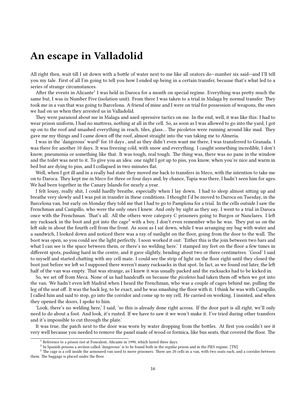#### <span id="page-15-0"></span>**An escape in Valladolid**

All right then, wait till I sit down with a bottle of water next to me like all orators do—number six said—and I'll tell you my tale. First of all I'm going to tell you how I ended up being in a certain transfer, because that's what led to a series of strange circumstances.

After the events in Alicante<sup>1</sup> I was held in Daroca for a month on special regime. Everything was pretty much the same but, I was in Number Five (isolation unit). From there I was taken to a trial in Malaga by normal transfer. They took me in a van that was going to Barcelona. A friend of mine and I were on trial for possession of weapons, the ones we had on us when they arrested us in Valladolid.

They were paranoid about me in Malaga and used opressive tactics on me. In the end, well, it was like this: I had to wear prison uniform, I had no mattress, nothing at all in the cell. So, as soon as I was allowed to go into the yard, I got up on to the roof and smashed everything in reach, tiles, glass… The picoletos were running around like mad. They gave me my things and I came down off the roof, almost straight into the van taking me to Almeria.

I was in the 'dangerous' ward<sup>2</sup> for 10 days , and as they didn't even want me there, I was transferred to Granada. I was there for another 10 days. It was freezing cold, with snow and everything. I caught something incredible, I don't know, pneumonia or something like that. It was tough, real tough. The thing was, there was no pane in the window and the toilet was next to it. To give you an idea: one night I got up to piss, you know, when you're nice and warm in bed but are dying to piss, and I collapsed in two minutes flat.

Well, when I got ill and in a really bad state they moved me back to transfers in Meco, with the intention to take me on to Daroca. They kept me in Meco for three or four days and, by chance, Tapia was there, I hadn't seen him for ages. We had been together in the Canary Islands for nearly a year.

I felt lousy, really shit, I could hardly breathe, especially when I lay down. I had to sleep almost sitting up and breathe very slowly and I was put in transfer in these conditions. I thought I'd be moved to Daroca on Tuesday, in the Barcelona van, but early on Monday they told me that I had to go to Pamplona for a trial. In the cells outside I saw the Frenchman and Campillo, who were the only ones I knew. And only by sight as they say. I went to a trial in Daroca once with the Frenchman. That's all. All the others were category C prisoners going to Burgos or Nanclares. I left my rucksack in the boot and got into the cage<sup>3</sup> with a boy, I don't even remember who he was. They put us on the left side in about the fourth cell from the front. As soon as I sat down, while I was arranging my bag with water and a sandwich, I looked down and noticed there was a ray of sunlight on the floor, going from the door to the wall. The boot was open, so you could see the light perfectly. I soon worked it out: 'Either this is the join between two bars and what I can see is the space between them, or there's no welding here.' I stamped my feet on the floor a few times in different spots, pushing hard in the centre, and it gave slightly, bending about two or three centimetres. 'Good' I said to myself and started chatting with my cell mate. I could see the strip of light on the floor right until they closed the boot just before we left so I supposed there weren't many rucksacks in that spot. In fact, as we found out later, the left half of the van was empty. That was strange, as I knew it was usually packed and the rucksacks had to be kicked in.

So, we set off from Meca. None of us had handcuffs on because the *picoletos* had taken them off when we got into the van. We hadn't even left Madrid when I heard the Frenchman, who was a couple of cages behind me, pulling the leg of the seat off. It was the back leg, to be exact, and he was smashing the floor with it. I think he was with Campillo. I called him and said to stop, go into the corridor and come up to my cell. He carried on working. I insisted, and when they opened the doors, I spoke to him.

'Look, there's no welding here,' I said, 'so this is already done right across. If the door part is all right, we'll only need to do about a foot. And look, it's rusted. If we have to saw it we won't make it. I've tried during other transfers and it's impossible to cut through the plate.'

It was true, the patch next to the door was worn by water dropping from the bottles. At first you couldn't see it very well because you needed to remove the panel made of wood or formica, like bus seats, that covered the floor. The

<sup>&</sup>lt;sup>1</sup> Reference to a prison riot at Foncalent, Alicante in 1990, which lasted three days.

 $^2$  In Spanish prisons a section called 'dangerous' is to be found both in the regular prison and in the FIES regime. [TN]

<sup>&</sup>lt;sup>3</sup> The cage is a cell inside the armoured van used to move prisoners. There are 20 cells in a van, with two seats each, and a corridor between them. The baggage is placed under the floor.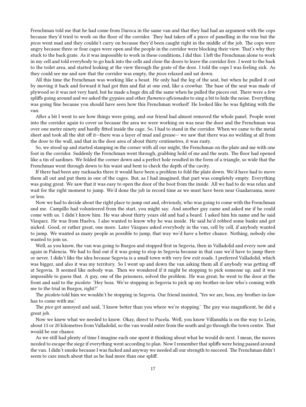Frenchman told me that he had come from Daroca in the same van and that they had had an argument with the cops because they'd tried to work on the floor of the corridor. They had taken off a piece of panelling in the rear but the *picos* went mad and they couldn't carry on because they'd been caught right in the middle of the job. The cops were angry because three or four cages were open and the people in the corridor were blocking their view. That's why they stuck to the back grate. As it was impossible to work in these conditions, I did this: I left the Frenchman alone to work in my cell and told everybody to go back into the cells and close the doors to leave the corridor free. I went to the back to the toilet area, and started looking at the view through the grate of the door. I told the cops I was feeling sick. As they could see me and saw that the corridor was empty, the *picos* relaxed and sat down.

All this time the Frenchman was working like a beast. He only had the leg of the seat, but when he pulled it out by moving it back and forward it had got thin and flat at one end, like a crowbar. The base of the seat was made of plywood so it was not very hard, but he made a huge din all the same when he pulled the pieces out. There were a few spliffs going around and we asked the gypsies and other *flamenco aficionados* to sing a bit to hide the noise. Everything was going fine because you should have seen how this Frenchman worked! He looked like he was fighting with the van.

After a bit I went to see how things were going, and our friend had almost removed the whole panel. People went into the corridor again to cover us because the area we were working on was near the door and the Frenchman was over one metre ninety and hardly fitted inside the cage. So, I had to stand in the corridor. When we came to the metal sheet and took all the shit off it—there was a layer of mud and grease— we saw that there was no welding at all from the door to the wall, and that in the door area of about thirty centimetres, it was rusty.

So, we stood up and started stamping in the corner with all our might, the Frenchman on the plate and me with one foot in the corridor. Suddenly the Frenchman went through, grabbing hold of me and the seats. The floor had opened like a tin of sardines. We folded the corner down and a perfect hole resulted in the form of a triangle, so wide that the Frenchman went through down to his waist and bent to check the depth of the cavity.

If there had been any rucksacks there it would have been a problem to fold the plate down. We'd have had to move them all out and put them in one of the cages. But, as I had imagined, that part was completely empty. Everything was going great. We saw that it was easy to open the door of the boot from the inside. All we had to do was relax and wait for the right moment to jump. We'd done the job in record time as we must have been near Guadarrama, more or less.

Now we had to decide about the right place to jump out and, obviously, who was going to come with the Frenchman and me. Campillo had volunteered from the start, you might say. And another guy came and asked me if he could come with us. I didn't know him. He was about thirty years old and had a beard. I asked him his name and he said Vázquez. He was from Huelva. I also wanted to know why he was inside. He said he'd robbed some banks and got nicked. Good, or rather great, one more. Later Vázquez asked everybody in the van, cell by cell, if anybody wanted to jump. We wanted as many people as possible to jump, that way we'd have a better chance. Nothing, nobody else wanted to join us.

Well, as you know, the van was going to Burgos and stopped first in Segovia, then in Valladolid and every now and again in Palencia. We had to find out if it was going to stop in Segovia because in that case we'd have to jump there or never. I didn't like the idea because Segovia is a small town with very few exit roads. I preferred Valladolid, which was bigger, and also it was my territory. So I went up and down the van asking them all if anybody was getting off at Segovia. It seemed like nobody was. Then we wondered if it might be stopping to pick someone up, and it was impossible to guess that. A guy, one of the prisoners, solved the problem. He was great; he went to the door at the front and said to the *picoleto*: 'Hey boss. We're stopping in Segovia to pick up my brother-in-law who's coming with me to the trial in Burgos, right?'

The *picoleto* told him we wouldn't be stopping in Segovia. Our friend insisted, 'Yes we are, boss, my brother-in-law has to come with me.'

The *pico* got annoyed and said, 'I know better than you where we're stopping.' The guy was magnificent, he did a great job.

Now we knew what we needed to know. Okay, direct to Pucela. Well, you know Villanubla is on the way to León, about 15 or 20 kilometres from Valladolid, so the van would enter from the south and go through the town centre. That would be our chance.

As we still had plenty of time I imagine each one spent it thinking about what he would do next. I mean, the moves needed to escape the siege if everything went according to plan. Now I remember that spliffs were being passed around the van. I didn't smoke because I was fucked and anyway we needed all our strength to succeed. The Frenchman didn't seem to care much about that as he had more than one spliff.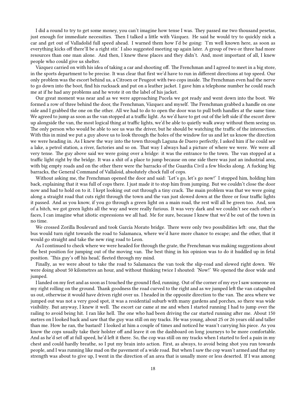I did a round to try to get some money, you can't imagine how tense I was. They passed me two thousand pesetas, just enough for immediate necessities. Then I talked a little with Vázquez. He said he would try to quickly nick a car and get out of Valladolid full speed ahead. I warned them how I'd be going: 'I'm well known here, as soon as everything kicks off there'll be a right stir.' I also suggested meeting up again later. A group of two or three had more resources than one man alone. And then, I knew these places and they didn't. And, most important of all, I knew people who could give us shelter.

Vázquez carried on with his idea of taking a car and shooting off. The Frenchman and I agreed to meet in a big store, in the sports department to be precise. It was clear that first we'd have to run in different directions at top speed. Our only problem was the escort behind us, a Citroen or Peugeot with two cops inside. The Frenchman even had the nerve to go down into the boot, find his rucksack and put on a leather jacket. I gave him a telephone number he could reach me at if he had any problems and he wrote it on the label of his jacket.

Our great moment was near and as we were approaching Pucela we got ready and went down into the boot. We formed a row of three behind the door, the Frenchman, Vázquez and myself. The Frenchman grabbed a handle on one side and I grabbed the one on the other. All we had to do to open the door was to pull both handles at the same time. We agreed to jump as soon as the van stopped at a traffic light. As we'd have to get out of the left side if the escort drew up alongside the van, the most logical thing at traffic lights, we'd be able to quietly walk away without them seeing us. The only person who would be able to see us was the driver, but he should be watching the traffic of the intersection. With this in mind we put a guy above us to look through the holes of the window for us and let us know the direction we were heading in. As I knew the way into the town through Laguna de Duero perfectly, I asked him if he could see a lake, a petrol station, a river, factories and so on. That way I always had a picture of where we were. We were all very tense. The guy above said we were going over a bridge: it was the entrance to the town. The van stopped at a traffic light right by the bridge. It was a shit of a place to jump because on one side there was just an industrial area, with big empty roads and on the other there were the barracks of the Guardia Civil a few blocks along. A fucking big barracks, the General Command of Vallaloid, absolutely chock full of cops.

Without asking me, the Frenchman opened the door and said: 'Let's go, let's go now!' I stopped him, holding him back, explaining that it was full of cops there. I just made it to stop him from jumping. But we couldn't close the door now and had to hold on to it. I kept looking out out through a tiny crack. The main problem was that we were going along a straight road that cuts right through the town and the van just slowed down at the three or four traffic lights it passed. And as you know, if you go through a green light on a main road, the rest will all be green too. And, son of a bitch, we got green lights all the way and were really furious. It was very dark and we couldn't see each other's faces, I can imagine what idiotic expressions we all had. Me for sure, because I knew that we'd be out of the town in no time.

We crossed Zorilla Boulevard and took García Morato bridge. There were only two possibilities left: one, that the bus would turn right towards the road to Salamanca, where we'd have more chance to escape; and the other, that it would go straight and take the new ring road to Leon.

As I continued to check where we were headed for through the grate, the Frenchman was making suggestions about the best position for jumping out of the moving van. The best thing in his opinion was to do it huddled up in fetal position. 'This guy's off his head,' fleeted through my mind.

Finally, as we were about to take the road to Salamanca the van took the slip-road and slowed right down. We were doing about 50 kilometres an hour, and without thinking twice I shouted: 'Now!' We opened the door wide and jumped.

I landed on my feet and as soon as I touched the ground I fled, running. Out of the corner of my eye I saw someone on my right rolling on the ground. Thank goodness the road curved to the right and as we jumped left the van catapulted us out, otherwise it would have driven right over us. I headed in the opposite direction to the van. The area where we jumped out was not a very good spot, it was a residential suburb with many gardens and porches, so there was wide visibility. But anyway, I knew it well. The escort car came at me and when I started running I had to jump over the railing to avoid being hit. I ran like hell. The one who had been driving the car started running after me. About 150 metres on I looked back and saw that the guy was still on my tracks. He was young, about 25 or 26 years old and taller than me. How he ran, the bastard! I looked at him a couple of times and noticed he wasn't carrying his piece. As you know the cops usually take their holster off and leave it on the dashboard on long journeys to be more comfortable. And as he'd set off at full speed, he'd left it there. So, the cop was still on my tracks when I started to feel a pain in my chest and could hardly breathe, so I put my brain into action. First, as always, to avoid being shot you run towards people, and I was running like mad on the pavement of a wide road. But when I saw the cop wasn't armed and that my strength was about to give up, I went in the direction of an area that is usually more or less deserted. If I was among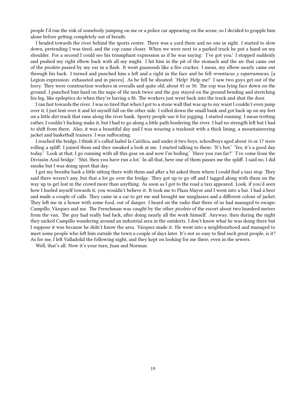people I'd run the risk of somebody jumping on me or a police car appearing on the scene, so I decided to grapple him alone before getting completely out of breath.

I headed towards the river behind the sports centre. There was a yard there and no one in sight. I started to slow down, pretending I was tired, and the cop came closer. When we were next to a parked truck he put a hand on my shoulder. For a second I could see his triumphant expression as if he was saying: 'I've got you.' I stopped suddenly and pushed my right elbow back with all my might. I hit him in the pit of the stomach and the air that came out of the *picoleto* passed by my ear in a flash. It went guasssssh like a fire cracker. I mean, my elbow nearly came out through his back. I turned and punched him a left and a right in the face and he fell *reventacus y esparramacus*, [a Legion expression: exhausted and in pieces]. As he fell he shouted: 'Help! Help me!' I saw two guys get out of the lorry. They were construction workers in overalls and quite old, about 45 or 50. The cop was lying face down on the ground. I punched him hard on the nape of the neck twice and the guy stayed on the ground bending and stretching his leg, like epileptics do when they're having a fit. The workers just went back into the truck and shut the door.

I ran fast towards the river. I was so tired that when I got to a stone wall that was up to my waist I couldn't even jump over it, I just lent over it and let myself fall on the other side. I rolled down the small bank and got back up on my feet on a little dirt track that runs along the river bank. Sporty people use it for jogging. I started running. I mean trotting rather, I couldn't fucking make it, but I had to go along a little path bordering the river. I had no strength left but I had to shift from there. Also, it was a beautiful day and I was wearing a tracksuit with a thick lining, a mountaineering jacket and basketball trainers. I was suffocating.

I reached the bridge, I think it's called Isabel la Católica, and under it two boys, schoolboys aged about 16 or 17 were rolling a spliff. I joined them and they sneaked a look at me. I started talking to them: 'It's hot.' 'Yes, it's a good day today.' 'Look at that, I go running with all this gear on and now I'm boiling.' 'Have you run far?' 'I've come from the División Azul bridge.' 'Shit, then you have run a lot.' In all that, here one of them passes me the spliff. I said no, I did smoke but I was doing sport that day.

I got my breathe back a little sitting there with them and after a bit asked them where I could find a taxi stop. They said there weren't any, but that a lot go over the bridge. They got up to go off and I tagged along with them on the way up to get lost in the crowd more than anything. As soon as I got to the road a taxi appeared. Look, if you'd seen how I hurled myself towards it, you wouldn't believe it. It took me to Plaza Mayor and I went into a bar. I had a beer and made a couple of calls. They came in a car to get me and brought me sunglasses and a different colour of jacket. They left me in a house with some food, out of danger. I heard on the radio that three of us had managed to escape: Campillo, Vázquez and me. The Frenchman was caught by the other *picoleto* of the escort about two hundred metres from the van. The guy had really bad luck, after doing nearly all the work himself. Anyway, then during the night they nicked Campillo wandering around an industrial area in the outskirts. I don't know what he was doing there but I suppose it was because he didn't know the area. Vázquez made it. He went into a neighbourhood and managed to meet some people who left him outside the town a couple of days later. It's not so easy to find such great people, is it? As for me, I left Valladolid the following night, and they kept on looking for me there, even in the sewers.

Well, that's all. Now it's your turn, Juan and Norman.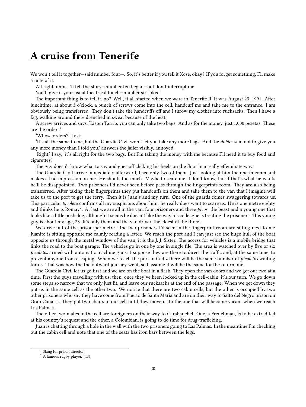### <span id="page-19-0"></span>**A cruise from Tenerife**

We won't tell it together—said number four—. So, it's better if you tell it Xosé, okay? If you forget something, I'll make a note of it.

All right, uhm. I'll tell the story—number ten began—but don't interrupt me.

You'll give it your usual theatrical touch—number six joked.

The important thing is to tell it, no? Well, it all started when we were in Tenerife II. It was August 23, 1991. After lunchtime, at about 3 o'clock, a bunch of screws come into the cell, handcuff me and take me to the entrance. I am obviously being transferred. They don't take the handcuffs off and I throw my clothes into rucksacks. Then I have a fag, walking around there drenched in sweat because of the heat.

A screw arrives and says, 'Listen Tarrío, you can only take two bags. And as for the money, just 1,000 pesetas. These are the orders.'

'Whose orders?' I ask.

'It's all the same to me, but the Guardia Civil won't let you take any more bags. And the *doble*<sup>1</sup> said not to give you any more money than I told you,' answers the jailer visibly, annoyed.

'Right,' I say, 'it's all right for the two bags. But I'm taking the money with me because I'll need it to buy food and cigarettes.'

The guy doesn't know what to say and goes off clicking his heels on the floor in a really effeminate way.

The Guardia Civil arrive immediately afterward, I see only two of them. Just looking at him the one in command makes a bad impression on me. He shouts too much. Maybe to scare me. I don't know, but if that's what he wants he'll be disappointed. Two prisoners I'd never seen before pass through the fingerprints room. They are also being transferred. After taking their fingerprints they put handcuffs on them and take them to the van that I imagine will take us to the port to get the ferry. Then it is Juan's and my turn. One of the guards comes swaggering towards us. This particular *picoleto* confirms all my suspicions about him: he really does want to scare us. He is one metre eighty and thinks he is Romay<sup>2</sup>. At last we are all in the van, four prisoners and three *picos*: the beast and a young one that looks like a little posh dog, although it seems he doesn't like the way his colleague is treating the prisoners. This young guy is about my age, 23. It's only them and the van driver, the eldest of the three.

We drive out of the prison perimetre. The two prisoners I'd seen in the fingerprint room are sitting next to me. Juanito is sitting opposite me calmly reading a letter. We reach the port and I can just see the huge hull of the boat opposite us through the metal window of the van, it is the J. J. Sister. The access for vehicles is a mobile bridge that links the road to the boat garage. The vehicles go in one by one in single file. The area is watched over by five or six *picoletos* armed with automatic machine guns. I suppose they are there to direct the traffic and, at the same time, to prevent anyone from escaping. When we reach the port in Cadiz there will be the same number of *picoletos* waiting for us. That was how the the outward journey went, so I assume it will be the same for the return one.

The Guardia Civil let us go first and we are on the boat in a flash. They open the van doors and we get out two at a time. First the guys travelling with us, then, once they've been locked up in the cell-cabin, it's our turn. We go down some steps so narrow that we only just fit, and leave our rucksacks at the end of the passage. When we get down they put us in the same cell as the other two. We notice that there are two cabin cells, but the other is occupied by two other prisoners who say they have come from Puerto de Santa María and are on their way to Salto del Negro prison on Gran Canaria. They put two chairs in our cell until they move us to the one that will become vacant when we reach Las Palmas.

The other two mates in the cell are foreigners on their way to Carabanchel. One, a Frenchman, is to be extradited at his country's request and the other, a Colombian, is going to do time for drug-trafficking.

Juan is chatting through a hole in the wall with the two prisoners going to Las Palmas. In the meantime I'm checking out the cabin cell and note that one of the seats has iron bars between the legs.

<sup>&</sup>lt;sup>1</sup> Slang for prison director.

<sup>2</sup> A famous rugby player. [TN]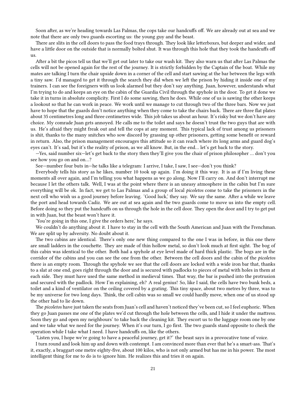Soon after, as we're heading towards Las Palmas, the cops take our handcuffs off. We are already out at sea and we note that there are only two guards escorting us: the young guy and the beast.

There are slits in the cell doors to pass the food trays through. They look like letterboxes, but deeper and wider, and have a little door on the outside that is normally bolted shut. It was through this hole that they took the handcuffs off us.

After a bit the picos tell us that we'll get out later to take our wash kit. They also warn us that after Las Palmas the cells will not be opened again for the rest of the journey. It is strictly forbidden by the Captain of the boat. While my mates are talking I turn the chair upside down in a corner of the cell and start sawing at the bar between the legs with a tiny saw. I'd managed to get it through the search they did when we left the prison by hiding it inside one of my trainers. I can see the foreigners with us look alarmed but they don't say anything. Juan, however, understands what I'm trying to do and keeps an eye on the cabin of the Guardia Civil through the spyhole in the door. To get it done we take it in turns in absolute complicity. First I do some sawing, then he does. While one of us is sawing the other keeps a lookout so that he can work in peace. We work until we manage to cut through two of the three bars. Now we just have to hope that the guards don't notice anything when they come to take the chairs back. There are three flat plates about 35 centimetres long and three centimetres wide. This job takes us about an hour. It's risky but we don't have any choice. My comrade Juan gets annoyed. He calls me to the toilet and says he doesn't trust the two guys that are with us. He's afraid they might freak out and tell the cops at any moment. This typical lack of trust among us prisoners is shit, thanks to the many snitches who sow discord by grassing up other prisoners, getting some benefit or reward in return. Also, the prison management encourages this attitude so it can reach where its long arms and guard dog's eyes can't. It's sad, but it's the reality of prison, as we all know. But, in the end… let's get back to the story.

—Yes, said number six—let's get back to the story then they'll give you the chair of prison philosopher … don't you see how you go on and on…?

See—number four buts in—he talks like a telegram: I arrive, I take, I saw, I see—don't you think?

Everybody tells his story as he likes, number 10 took up again. I'm doing it this way. It is as if I'm living these moments all over again, and I'm telling you what happens as we go along. Now I'll carry on. And don't interrupt me because I let the others talk. Well, I was at the point where there is an uneasy atmosphere in the cabin but I'm sure everything will be ok. In fact, we get to Las Palmas and a group of local *picoletos* come to take the prisoners in the next cell who wish us a good journey before leaving. 'Good luck,' they say. We say the same. After a while we leave the port and head towards Cadiz. We are out at sea again and the two guards come to move us into the empty cell. Before doing so they put the handcuffs on us through the hole in the cell door. They open the door and I try to get put in with Juan, but the beast won't have it.

'You're going in this one, I give the orders here,' he says.

We couldn't do anything about it. I have to stay in the cell with the South American and Juan with the Frenchman. We are split up by adversity. No doubt about it.

The two cabins are identical. There's only one new thing compared to the one I was in before, in this one there are small ladders in the couchette. They are made of thin hollow metal, so don't look much at first sight. The bog of this cabin was identical to the other. Both had a spyhole at eye level made of hard thick plastic. The bogs are in the corridor of the cabins and you can see the one from the other. Between the cell doors and the cabin of the *picoletos* there is an empty room. Through the spyhole we see that the cell doors are locked with a wide iron bar that, thanks to a slat at one end, goes right through the door and is secured with padlocks to pieces of metal with holes in them at each side. They must have used the same method in medieval times. That way, the bar is pushed into the protrusion and secured with the padlock. How I'm explaining, eh? A real genius! So, like I said, the cells have two bunk beds, a toilet and a kind of ventilator on the ceiling covered by a grating. This tiny space, about two metres by three, was to be my universe for two long days. Think, the cell cabin was so small we could hardly move, when one of us stood up the other had to lie down.

The *picoletos* have just taken the seats from Juan's cell and haven't noticed they've been cut, so I feel euphoric. When they go Juan passes me one of the plates we'd cut through the hole between the cells, and I hide it under the mattress. Soon they go and open my neighbours' to take back the cleaning kit. They escort us to the luggage room one by one and we take what we need for the journey. When it's our turn, I go first. The two guards stand opposite to check the operation while I take what I need. I have handcuffs on, like the others.

'Listen you, I hope we're going to have a peaceful journey, get it?' the beast says in a provocative tone of voice.

I turn round and look him up and down with contempt. I am convinced more than ever that he's a smart-ass. That's it, exactly, a braggart one metre eighty-five, about 100 kilos, who is not only armed but has me in his power. The most intelligent thing for me to do is to ignore him. He realizes this and tries it on again.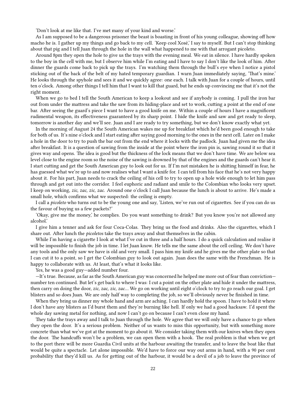'Don't look at me like that. I've met many of your kind and worse.'

As I am supposed to be a dangerous prisoner the beast is boasting in front of his young colleague, showing off how macho he is. I gather up my things and go back to my cell. 'Keep cool Xosé,' I say to myself. But I can't stop thinking about that pig and I tell Juan through the hole in the wall what happened to me with that arrogant picoleto.

Around 8pm they open the hole to give us the trays with the evening meal. We eat in silence. I have hardly spoken to the boy in the cell with me, but I observe him while I'm eating and I have to say I don't like the look of him. After dinner the guards come back to pick up the trays. I'm watching them through the bull's eye when I notice a pistol sticking out of the back of the belt of my hated temporary guardian. I warn Juan immediately saying, 'That's mine.' He looks through the spyhole and sees it and we quickly agree: one each. I talk with Juan for a couple of hours, until ten o'clock. Among other things I tell him that I want to kill that guard, but he ends up convincing me that it's not the right moment.

When we go to bed I tell the South American to keep a lookout and see if anybody is coming. I pull the iron bar out from under the mattress and take the saw from its hiding-place and set to work, cutting a point at the end of one bar. After seeing the guard's piece I want to have a good knife on me. Within a couple of hours I have a magnificent rudimental weapon, its effectiveness guaranteed by its sharp point. I hide the knife and saw and get ready to sleep, tomorrow is another day and we'll see. Juan and I are ready to try something, but we don't know exactly what yet.

In the morning of August 24 the South American wakes me up for breakfast which he'd been good enough to take for both of us. It's nine o'clock and I start eating after saying good morning to the ones in the next cell. Later on I make a hole in the door to try to push the bar out from the end where it locks with the padlock. Juan had given me the idea after breakfast. It is a question of sawing from the inside at the point where the iron pin is, sawing round it so that it gives way and opens. The idea is good but the thickness of the lock means that we don't have time. We are below sea level close to the engine room so the noise of the sawing is drowned by that of the engines and the guards can't hear it. I start cutting and get the South American guy to look out for us. If I'm not mistaken he is shitting himself in fear, he has guessed what we're up to and now realises what I want a knife for. I can tell from his face that he's not very happy about it. For his part, Juan needs to crack the ceiling of his cell to try to open up a hole wide enough to let him pass through and get out into the corridor. I feel euphoric and radiant and smile to the Colombian who looks very upset. I keep on working, *zic, zac, zic, zac*. Around one o'clock I call Juan because the lunch is about to arrive. He's made a small hole, which confirms what we suspected: the ceiling is empty.

I call a *picoleto* who turns out to be the young one and say, 'Listen, we've run out of cigarettes. See if you can do us the favour of buying us a few packets?'

'Okay, give me the money,' he complies. Do you want something to drink? But you know you're not allowed any alcohol.'

I give him a tenner and ask for four Coca-Colas. They bring us the food and drinks. Also the cigarettes, which I share out. After lunch the *picoletos* take the trays away and shut themselves in the cabin.

While I'm having a cigarette I look at what I've cut in three and a half hours. I do a quick calculation and realise it will be impossible to finish the job in time. I let Juan know. He tells me the same about the cell ceiling. We don't have any tools and the only saw we have is old and very small. I pass him my knife and he gives me the other plate so that I can cut it to a point, so I get the Colombian guy to look out again. Juan does the same with the Frenchman. He is happy to collaborate with us. At least, that's what it looks like.

Yes, he was a good guy—added number four.

—It's true. Because, as far as the South American guy was concerned he helped me more out of fear than conviction number ten continued. But let's get back to where I was: I cut a point on the other plate and hide it under the mattress, then carry on doing the door, *zic, zac, zic, zac*… We go on working until eight o'clock to try to go reach our goal. I get blisters and so does Juan. We are only half way to completing the job, so we'll obviously never be finished in time.

When they bring us dinner my whole hand and arm are aching. I can hardly hold the spoon. I have to hold it where I don't have any blisters as I'd burst them and they're burning like hell. If only we had a good hacksaw. I'd spent the whole day sawing metal for nothing, and now I can't go on because I can't even close my hand.

They take the trays away and I talk to Juan through the hole. We agree that we will only have a chance to go when they open the door. It's a serious problem. Neither of us wants to miss this opportunity, but with something more concrete than what we've got at the moment to go about it. We consider taking them with our knives when they open the door. The handcuffs won't be a problem, we can open them with a hook. The real problem is that when we get to the port there will be more Guardia Civil units at the harbour awaiting the transfer, and to leave the boat like that would be quite a spectacle. Let alone impossible. We'd have to force our way out arms in hand, with a 90 per cent probability that they'd kill us. As for getting out of the harbour, it would be a devil of a job to leave the province of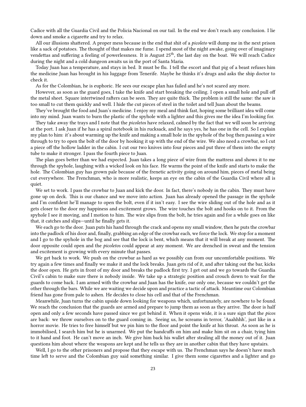Cadice with all the Guardia Civil and the Policia Nacional on our tail. In the end we don't reach any conclusion. I lie down and smoke a cigarette and try to relax.

All our illusions shattered. A proper mess because in the end that shit of a *picoleto* will dump me in the next prison like a sack of potatoes. The thought of that makes me fume. I spend most of the night awake, going over of imaginary vendettas and suffering a feeling of powerlessness. It is August  $25<sup>th</sup>$ , the last day on the boat. We will reach Cadice during the night and a cold dungeon awaits us in the port of Santa Maria.

Today Juan has a temperature, and stays in bed. It must be flu. I tell the escort and that pig of a beast refuses him the medicine Juan has brought in his luggage from Tenerife. Maybe he thinks it's drugs and asks the ship doctor to check it.

As for the Colombian, he is euphoric. He sees our escape plan has failed and he's not scared any more.

However, as soon as the guard goes, I take the knife and start breaking the ceiling. I open a small hole and pull off the metal sheet. Square intertwined rafters can be seen. They are quite thick. The problem is still the same: the saw is too small to cut them quickly and well. I hide the cut pieces of steel in the toilet and tell Juan about the beams.

They've brought the food and Juan's medicine. I enjoy my meal and think fast, hoping some brilliant idea will come into my mind. Juan wants to burn the plastic of the spyhole with a lighter and this gives me the idea I'm looking for.

They take away the trays and I note that the *picoletos* have relaxed, calmed by the fact that we will soon be arriving at the port. I ask Juan if he has a spiral notebook in his rucksack, and he says yes, he has one in the cell. So I explain my plan to him: it's about warming up the knife and making a small hole in the spyhole of the bog then passing a wire through to try to open the bolt of the door by hooking it up with the end of the wire. We also need a crowbar, so I cut a piece off the hollow ladder in the cabin. I cut our two knives into four pieces and put three of them into the empty tube to make it stronger. I pass the fourth piece to Juan.

The plan goes better than we had expected. Juan takes a long piece of wire from the mattress and shows it to me through the spyhole, laughing with a wicked look on his face. He warms the point of the knife and starts to make the hole. The Colombian guy has grown pale because of the frenetic activity going on around him, pieces of metal being cut everywhere. The Frenchman, who is more realistic, keeps an eye on the cabin of the Guardia Civil where all is quiet.

We set to work. I pass the crowbar to Juan and kick the door. In fact, there's nobody in the cabin. They must have gone up on deck. This is our chance and we move into action. Juan has already opened the passage in the spyhole and I'm confident he'll manage to open the bolt, even if it isn't easy. I see the wire sliding out of the hole and as it gets closer to the door my happiness and excitement grows. The wire touches the bolt and hooks on to it. From the spyhole I see it moving, and I motion to him. The wire slips from the bolt, he tries again and for a while goes on like that, it catches and slips—until he finally gets it.

We each go to the door. Juan puts his hand through the crack and opens my small window, then he puts the crowbar into the padlock of his door and, finally, grabbing an edge of the crowbar each, we force the lock. We stop for a moment and I go to the spyhole in the bog and see that the lock is bent, which means that it will break at any moment. The door opposite could open and the *picoletos* could appear at any moment. We are drenched in sweat and the tension and excitement is growing with every minute that passes.

We get back to work. We push on the crowbar as hard as we possibly can from our uncomfortable positions. We try again a few times and finally we make it and the lock breaks. Juan gets rid of it, and after taking out the bar, kicks the door open. He gets in front of my door and breaks the padlock first try. I get out and we go towards the Guardia Civil's cabin to make sure there is nobody inside. We take up a strategic position and crouch down to wait for the guards to come back. I am armed with the crowbar and Juan has the knife, our only one, because we couldn't get the other through the bars. While we are waiting we decide upon and practice a tactic of attack. Meantime our Colombian friend has gone from pale to ashen. He decides to close his cell and that of the Frenchman.

Meanwhile, Juan turns the cabin upside down looking for weapons which, unfortunately, are nowhere to be found. We reach the conclusion that the guards are armed and prepare to jump them as soon as they arrive. The door is half open and only a few seconds have passed since we got behind it. When it opens wide, it is a sure sign that the *picos* are back: we throw ourselves on to the guard coming in. Seeing us, he screams in terror, 'Aaahhhh', just like in a horror movie. He tries to free himself but we pin him to the floor and point the knife at his throat. As soon as he is immobilised, I search him but he is unarmed. We put the handcuffs on him and make him sit on a chair, tying him to it hand and foot. He can't move an inch. We give him back his wallet after stealing all the money out of it. Juan questions him about where the weapons are kept and he tells us they are in another cabin that they have upstairs.

Well, I go to the other prisoners and propose that they escape with us. The Frenchman says he doesn't have much time left to serve and the Colombian guy said something similar. I give them some cigarettes and a lighter and go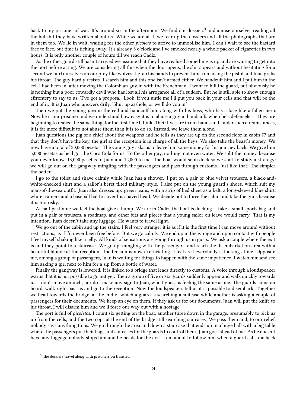back to my prisoner of war. It's around six in the afternoon. We find our dossiers<sup>3</sup> and amuse ourselves reading all the bullshit they have written about us. While we are at it, we tear up the dossiers and all the photographs that are in them too. We lie in wait, waiting for the other *picoleto* to arrive to immobilise him. I can't wait to see the bastard face to face, but time is ticking away. It's already 8 o'clock and I've smoked nearly a whole packet of cigarettes in two hours. It is only another couple of hours till we reach Cadiz.

As the other guard still hasn't arrived we assume that they have realised something is up and are waiting to get into the port before acting. We are considering all this when the door opens, the shit appears and without hesitating for a second we hurl ourselves on our prey like wolves: I grab his hands to prevent him from using the pistol and Juan grabs his throat. The guy hardly resists. I search him and this one isn't armed either. We handcuff him and I put him in the cell I had been in, after moving the Colombian guy in with the Frenchman. I want to kill the guard, but obviously he is nothing but a poor cowardly devil who has lost all his arrogance all of a sudden. But he is still able to show enough effrontery to say to us, 'I've got a proposal. Look, if you untie me I'll put you back in your cells and that will be the end of it.' It is Juan who answers drily, 'Shut up asshole, or we'll do you in.'

Then we put the young *pico* in the cell and handcuff him along with his boss, who has a face like a fallen hero. Now he is our prisoner and we understand how easy it is to abuse a guy in handcuffs when he's defenceless. They are beginning to realize the same thing, for the first time I think. Their lives are in our hands and, under such circumstances, it is far more difficult to not abuse them than it is to do so. Instead, we leave them alone.

Juan questions the pig of a chief about the weapons and he tells us they are up on the second floor in cabin 77 and that they don't have the key, the girl at the reception is in charge of all the keys. We also take the beast's money. We now have a total of 30,000 pesetas. The young guy asks us to leave him some money for his journey back. We give him 5,000 pesetas as he'd got the Coca Cola for us. To the other guy, nothing, not even water. We split the money, because you never know, 13,000 pesetas to Juan and 12,000 to me. The boat would soon dock so we start to study a strategy: we will go out on the gangway mingling with the passengers and pass through customs. Just like that. The simpler the better.

I go to the toilet and shave calmly while Juan has a shower. I put on a pair of blue velvet trousers, a black-andwhite-checked shirt and a sailor's beret tilted military style. I also put on the young guard's shoes, which suit my man-of-the-sea outfit. Juan also dresses up: green jeans, with a strip of bed sheet as a belt, a long-sleeved blue shirt, white trainers and a baseball hat to cover his shaved head. We decide not to force the cabin and take the guns because it is too risky.

At half past nine we feel the boat give a bump. We are in Cadiz, the boat is docking. I take a small sports bag and put in a pair of trousers, a roadmap, and other bits and pieces that a young sailor on leave would carry. That is my intention. Juan doesn't take any luggage. He wants to travel light.

We go out of the cabin and up the stairs. I feel very strange: it is as if it is the first time I can move around without restrictions, as if I'd never been free before. But we go calmly. We end up in the garage and upon contact with people I feel myself shaking like a jelly. All kinds of sensations are going through us in gusts. We ask a couple where the exit is and they point to a staircase. We go up, mingling with the passengers, and reach the disembarkation area with a beautiful blonde at the reception. The tension is now excruciating. I feel as if everybody is looking at me. Opposite me, among a group of passengers, Juan is waiting for things to happen with the same impatience. I watch him and see him asking a girl next to him for a sip from a bottle of water.

Finally the gangway is lowered. It is linked to a bridge that leads directly to customs. A voice through a loudspeaker warns that it is not possible to go out yet. Then a group of five or six guards suddenly appear and walk quickly towards us. I don't move an inch, nor do I make any sign to Juan, who I guess is feeling the same as me. The guards come on board, walk right past us and go to the reception. Now the loudspeakers tell us it is possible to disembark. Together we head towards the bridge, at the end of which a guard is searching a suitcase while another is asking a couple of passengers for their documents. We keep an eye on them. If they ask us for our documents, Juan will put the knife to his throat, I will disarm him and we'll force our way out with a hostage.

The port is full of *picoletos*. I count six getting on the boat, another three down in the garage, presumably to pick us up from the cells, and the two cops at the end of the bridge still searching suitcases. We pass them and, to our relief, nobody says anything to us. We go through the area and down a staircase that ends up in a huge hall with a big table where the passengers put their bags and suitcases for the guards to control them. Juan goes ahead of me. As he doesn't have any luggage nobody stops him and he heads for the exit. I am about to follow him when a guard calls me back

<sup>&</sup>lt;sup>3</sup> The dossiers travel along with prisoners on transfer.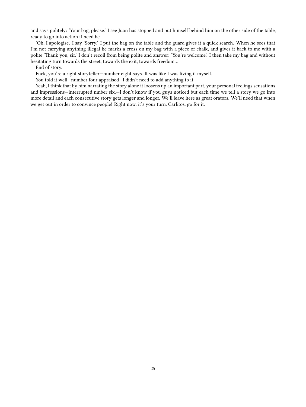and says politely: 'Your bag, please.' I see Juan has stopped and put himself behind him on the other side of the table, ready to go into action if need be.

'Oh, I apologise,' I say 'Sorry.' I put the bag on the table and the guard gives it a quick search. When he sees that I'm not carrying anything illegal he marks a cross on my bag with a piece of chalk, and gives it back to me with a polite 'Thank you, sir.' I don't recoil from being polite and answer: 'You're welcome.' I then take my bag and without hesitating turn towards the street, towards the exit, towards freedom…

End of story.

Fuck, you're a right storyteller—number eight says. It was like I was living it myself.

You told it well—number four appraised—I didn't need to add anything to it.

Yeah, I think that by him narrating the story alone it loosens up an important part, your personal feelings sensations and impressions—interrupted nmber six.—I don't know if you guys noticed but each time we tell a story we go into more detail and each consecutive story gets longer and longer. We'll leave here as great orators. We'll need that when we get out in order to convince people! Right now, it's your turn, Carlitos, go for it.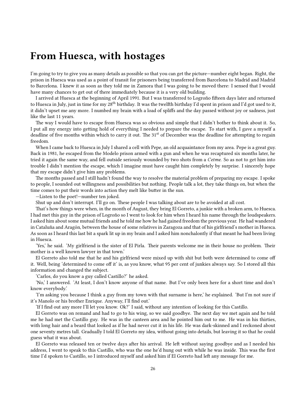#### <span id="page-25-0"></span>**From Huesca, with hostages**

I'm going to try to give you as many details as possible so that you can get the picture—number eight began. Right, the prison in Huesca was used as a point of transit for prisoners being transferred from Barcelona to Madrid and Madrid to Barcelona. I knew it as soon as they told me in Zamora that I was going to be moved there: I sensed that I would have many chances to get out of there immediately because it is a very old building.

I arrived at Huesca at the beginning of April 1991. But I was transferred to Logroño fifteen days later and returned to Huesca in July, just in time for my 28<sup>th</sup> birthday. It was the twelfth birthday I'd spent in prison and I'd got used to it, it didn't upset me any more. I numbed my brain with a load of spliffs and the day passed without joy or sadness, just like the last 11 years.

The way I would have to escape from Huesca was so obvious and simple that I didn't bother to think about it. So, I put all my energy into getting hold of everything I needed to prepare the escape. To start with, I gave a myself a deadline of five months within which to carry it out. The 31<sup>st</sup> of December was the deadline for attempting to regain freedom.

When I came back to Huesca in July I shared a cell with Pepe, an old acquaintance from my area. Pepe is a great guy. Back in 1981, he escaped from the Modelo prison armed with a gun and when he was recaptured six months later, he tried it again the same way, and fell outside seriously wounded by two shots from a *Cetme*. So as not to get him into trouble I didn't mention the escape, which I imagine must have caught him completely by surprise. I sincerely hope that my escape didn't give him any problems.

The months passed and I still hadn't found the way to resolve the material problem of preparing my escape. I spoke to people, I sounded out willingness and possibilities but nothing. People talk a lot, they take things on, but when the time comes to put their words into action they melt like butter in the sun.

—Listen to the poet!—number ten joked.

Shut up and don't interrupt. I'll go on. These people I was talking about are to be avoided at all cost.

That's how things were when, in the month of August, they bring El Gorreto, a junkie with a broken arm, to Huesca. I had met this guy in the prison of Logroño so I went to look for him when I heard his name through the loudspeakers. I asked him about some mutual friends and he told me how he had gained freedom the previous year. He had wandered in Cataluña and Aragón, between the house of some relatives in Zaragoza and that of his girlfriend's mother in Huesca. As soon as I heard this last bit a spark lit up in my brain and I asked him nonchalontly if that meant he had been living in Huesca.

'Yes,' he said. 'My girlfriend is the sister of El Pirla. Their parents welcome me in their house no problem. Their mother is a well known lawyer in that town.'

El Gorreto also told me that he and his girlfriend were mixed up with shit but both were determined to come off it. Well, being 'determined to come off it' is, as you know, what 95 per cent of junkies always say. So I stored all this information and changed the subject.

'Carlos, do you know a guy called Castillo?' he asked.

'No,' I answered. 'At least, I don't know anyone of that name. But I've only been here for a short time and don't know everybody.'

'I'm asking you because I think a guy from my town with that surname is here,' he explained. 'But I'm not sure if it's Manolo or his brother Enrique. Anyway, I'll find out.'

'If I find out any more I'll let you know. Ok?' I said, without any intention of looking for this Castillo.

El Gorreto was on remand and had to go to his wing, so we said goodbye. The next day we met again and he told me he had met the Castillo guy. He was in the canteen area and he pointed him out to me. He was in his thirties, with long hair and a beard that looked as if he had never cut it in his life. He was dark-skinned and I reckoned about one seventy metres tall. Gradually I told El Gorreto my idea, without going into details, but leaving it so that he could guess what it was about.

El Gorreto was released ten or twelve days after his arrival. He left without saying goodbye and as I needed his address, I went to speak to this Castillo, who was the one he'd hung out with while he was inside. This was the first time I'd spoken to Castillo, so I introduced myself and asked him if El Gorreto had left any message for me.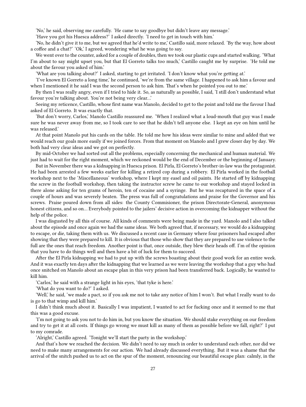'No,' he said, observing me carefully. 'He came to say goodbye but didn't leave any message.'

'Have you got his Huesca address?' I asked directly. 'I need to get in touch with him.'

'No, he didn't give it to me, but we agreed that he'd write to me,' Castillo said, more relaxed. 'By the way, how about a coffee and a chat?' 'Ok,' I agreed, wondering what he was going to say.

We went over to the counter, asked for a couple of doubles, then we took our plastic cups and started walking. 'What I'm about to say might upset you, but that El Gorreto talks too much,' Castillo caught me by surprise. 'He told me about the favour you asked of him.'

'What are you talking about?' I asked, starting to get irritated. 'I don't know what you're getting at.'

'I've known El Gorreto a long time,' he continued, 'we're from the same village. I happened to ask him a favour and when I mentioned it he said I was the second person to ask him. That's when he pointed you out to me.'

By then I was really angry, even if I tried to hide it. So, as naturally as possible, I said, 'I still don't understand what favour you're talking about. You're not being very clear…'

Seeing my reticence, Castillo, whose first name was Manolo, decided to get to the point and told me the favour I had asked of El Gorreto. It was exactly that.

'But don't worry, Carlos,' Manolo Castillo reassured me. 'When I realized what a loud-mouth that guy was I made sure he was never away from me, so I took care to see that he didn't tell anyone else. I kept an eye on him until he was released.'

At that point Manolo put his cards on the table. He told me how his ideas were similar to mine and added that we would reach our goals more easily if we joined forces. From that moment on Manolo and I grew closer day by day. We both had very clear ideas and we got on perfectly.

By mid-October we had sorted out all the problems, especially concerning the mechanical and human material. We just had to wait for the right moment, which we reckoned would be the end of December or the beginning of January.

But in November there was a kidnapping in Huesca prison. El Pirla, El Gorreto's brother-in-law was the protagonist. He had been arrested a few weeks earlier for killing a retired cop during a robbery. El Pirla worked in the football workshop next to the 'Miscellaneous' workshop, where I kept my easel and oil paints. He started off by kidnapping the screw in the football workshop, then taking the instructor screw he came to our workshop and stayed locked in there alone asking for ten grams of heroin, ten of cocaine and a syringe. But he was recaptured in the space of a couple of hours and was severely beaten. The press was full of congratulations and praise for the Governor and his screws. Praise poured down from all sides: the County Commisioner, the prison Directorate-General, anonymous honest citizens, and so on… Everybody pointed to the jailers' decisive action in overcoming the kidnapper without the help of the police.

I was disgusted by all this of course. All kinds of comments were being made in the yard. Manolo and I also talked about the episode and once again we had the same ideas. We both agreed that, if necessary, we would do a kidnapping to escape, or die, taking them with us. We discussed a recent case in Germany where four prisoners had escaped after showing that they were prepared to kill. It is obvious that those who show that they are prepared to use violence to the full are the ones that reach freedom. Another point is that, once outside, they blew their heads off. I'm of the opinion that you have to do things well and then have a bit of luck for them to succeed.

After the El Pirla kidnapping we had to put up with the screws boasting about their good work for an entire week. And it was exactly ten days after the kidnapping that we learned as we were leaving the workshop that a guy who had once snitched on Manolo about an escape plan in this very prison had been transferred back. Logically, he wanted to kill him.

'Carlos,' he said with a strange light in his eyes, 'that tyke is here.'

'What do you want to do?' I asked.

'Well,' he said, 'we made a pact, so if you ask me not to take any notice of him I won't. But what I really want to do is go to that wimp and kill him.'

I didn't think much about it. Basically I was impatient, I wanted to act for fucking once and it seemed to me that this was a good excuse.

'I'm not going to ask you not to do him in, but you know the situation. We should stake everything on our freedom and try to get it at all costs. If things go wrong we must kill as many of them as possible before we fall, right?' I put to my comrade.

'Alright,' Castillo agreed. 'Tonight we'll start the party in the workshop.'

And that's how we reached the decision. We didn't need to say much in order to understand each other, nor did we need to make many arrangements for our action. We had already discussed everything. But it was a shame that the arrival of the snitch pushed us to act on the spur of the moment, renouncing our beautiful escape plan: calmly, in the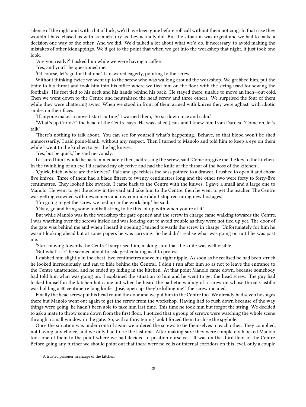silence of the night and with a bit of luck, we'd have been gone before roll call without them noticing. In that case they wouldn't have chased us with as much fury as they actually did. But the situation was urgent and we had to make a decision one way or the other. And we did. We'd talked a lot about what we'd do, if necessary, to avoid making the mistakes of other kidnappings. We'd got to the point that when we got into the workshop that night, it just took one look.

'Are you ready?' I asked him while we were having a coffee.

'Yes, and you?' he questioned me.

'Of course, let's go for that one,' I answered eagerly, pointing to the screw.

Without thinking twice we went up to the screw who was walking around the workshop. We grabbed him, put the knife to his throat and took him into his office where we tied him on the floor with the string used for sewing the footballs. His feet tied to his neck and his hands behind his back. He stayed there, unable to move an inch—out cold. Then we went down to the Centre and neutralised the head screw and three others. We surprised the four of them while they were chattering away. When we stood in front of them armed with knives they were aghast, with idiotic smiles on their faces.

'If anyone makes a move I start cutting,' I warned them, 'So sit down nice and calm.'

'What's up Carlos?' the head of the Centre says. He was called Jesus and I knew him from Daroca. 'Come on, let's talk.'

'There's nothing to talk about. You can see for yourself what's happening. Behave, so that blood won't be shed unnecessarily,' I said point-blank, without any respect. Then I turned to Manolo and told him to keep a eye on them while I went to the kitchen to get the big knives.

'Yes, but be quick,' he said nervously.

I assured him I would be back immediately then, addressing the screw, said 'Come on, give me the key to the kitchen.' In the twinkling of an eye I'd reached my objective and had the knife at the throat of the boss of the kitchen $^1$ .

'Quick, bitch, where are the knives?' Pale and speechless the boss pointed to a drawer. I rushed to open it and chose five knives. Three of them had a blade fifteen to twenty centimetres long and the other two were forty to forty-five centimetres. They looked like swords. I came back to the Centre with the knives. I gave a small and a large one to Manolo. He went to get the screw in the yard and take him to the Centre, then he went to get the teacher. The Centre was getting crowded with newcomers and my comrade didn't stop recruiting new hostages.

'I'm going to get the screw we tied up in the workshop,' he said.

'Okay, go and bring some football string to tie this lot up with when you're at it.'

But while Manolo was in the workshop the gate opened and the screw in charge came walking towards the Centre. I was watching over the screws inside and was looking out to avoid trouble as they were not tied up yet. The door of the gate was behind me and when I heard it opening I turned towards the screw in charge. Unfortunately for him he wasn't looking ahead but at some papers he was carrying. So he didn't realise what was going on until he was past me.

'Start moving towards the Centre,'I surprised him, making sure that the knife was well visible.

'But what's…?' he seemed about to ask, gesticulating as if to protest.

I stabbed him slightly in the chest, two centimetres above his right nipple. As soon as he realised he had been struck he looked incredulously and ran to hide behind the Central. I didn't run after him so as not to leave the entrance to the Centre unattended, and he ended up hiding in the kitchen. At that point Manolo came down, because somebody had told him what was going on. I explained the situation to him and he went to get the head screw. The guy had locked himself in the kitchen but came out when he heard the pathetic wailing of a screw on whose throat Castillo was holding a 40 centimetre long knife. 'José, open up, they're killing me!' the screw moaned.

Finally the head screw put his head round the door and we put him in the Centre too. We already had seven hostages there but Manolo went out again to get the screw from the workshop. Having had to rush down because of the way things were going, he hadn't been able to take him last time. This time he took him but forgot the string. We decided to ask a mate to throw some down from the first floor. I noticed that a group of screws were watching the whole scene through a small window in the gate. So, with a threatening look I forced them to close the spyhole.

Once the situation was under control again we ordered the screws to tie themselves to each other. They complied, not having any choice, and we only had to tie the last one. After making sure they were completely blocked Manolo took one of them to the point where we had decided to position ourselves. It was on the third floor of the Centre. Before going any further we should point out that there were no cells or internal corridors on this level, only a couple

 $<sup>1</sup>$  A trusted prisoner in charge of the kitchen.</sup>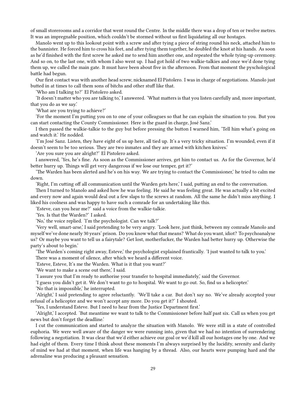of small storerooms and a corridor that went round the Centre. In the middle there was a drop of ten or twelve metres. It was an impregnable position, which couldn't be stormed without us first liquidating all our hostages.

Manolo went up to this lookout point with a screw and after tying a piece of string round his neck, attached him to the bannister. He forced him to cross his feet, and after tying them together, he doubled the knot at his hands. As soon as he'd finished with the first screw he asked me to send him another one, and repeated the whole tying-up ceremony. And so on, to the last one, with whom I also went up. I had got hold of two walkie-talkies and once we'd done tying them up, we called the main gate. It must have been about five in the afternoon. From that moment the pyschological battle had begun.

Our first contact was with another head screw, nicknamed El Pistolero. I was in charge of negotiations. Manolo just butted in at times to call them sons of bitchs and other stuff like that.

'Who am I talking to?' El Pistolero asked.

'It doesn't matter who you are talking to,' I answered. 'What matters is that you listen carefully and, more important, that you do as we say.'

'What are you trying to achieve?'

'For the moment I'm putting you on to one of your colleagues so that he can explain the situation to you. But you can start contacting the County Commissioner. Here is the guard in charge, José Sanz.'

I then passed the walkie-talkie to the guy but before pressing the button I warned him, 'Tell him what's going on and watch it.' He nodded.

'I'm José Sanz. Listen, they have eight of us up here, all tied up. It's a very tricky situation. I'm wounded, even if it doesn't seem to be too serious. They are two inmates and they are armed with kitchen knives.'

'Are you sure you are alright?' El Pistolero asked.

I answered, 'Yes, he's fine. As soon as the Commissioner arrives, get him to contact us. As for the Governor, he'd better hurry up. Things will get very dangerous if we lose our temper, get it?'

'The Warden has been alerted and he's on his way. We are trying to contact the Commissioner,' he tried to calm me down.

'Right, I'm cutting off all communication until the Warden gets here,' I said, putting an end to the conversation.

Then I turned to Manolo and asked how he was feeling. He said he was feeling great. He was actually a bit excited and every now and again would deal out a few slaps to the screws at random. All the same he didn't miss anything. I liked his coolness and was happy to have such a comrade for an undertaking like this.

'Esteve, can you hear me?' said a voice from the walkie-talkie.

'Yes. Is that the Warden?' I asked.

'No,' the voice replied. 'I'm the psychologist. Can we talk?'

'Very well, smart-arse,' I said pretending to be very angry. 'Look here, just think, between my comrade Manolo and myself we've done nearly 30 years' prison. Do you know what that means? What do you want, idiot? To psychoanalyse us? Or maybe you want to tell us a fairytale? Get lost, motherfucker, the Warden had better hurry up. Otherwise the party's about to begin.'

'The Warden's coming right away, Esteve,' the psychologist explained frantically. 'I just wanted to talk to you.'

There was a moment of silence, after which we heard a different voice.

'Esteve, Esteve, It's me the Warden. What is it that you want?'

'We want to make a scene out there,' I said.

'I assure you that I'm ready to authorise your transfer to hospital immediately,' said the Governor.

'I guess you didn't get it. We don't want to go to hospital. We want to go out. So, find us a helicopter.'

'No that is impossible,' he interrupted.

'Alright,' I said pretending to agree reluctantly. 'We'll take a car. But don't say no. We've already accepted your refusal of a helicopter and we won't accept any more. Do you get it?' I shouted.

'Yes, I understand Esteve. But I need to hear from the Justice Department first.'

'Alright,' I accepted. 'But meantime we want to talk to the Commissioner before half past six. Call us when you get news but don't forget the deadline.'

I cut the communication and started to analyze the situation with Manolo. We were still in a state of controlled euphoria. We were well aware of the danger we were running into, given that we had no intention of surrendering following a negotiation. It was clear that we'd either achieve our goal or we'd kill all our hostages one by one. And we had eight of them. Every time I think about these moments I'm always surprised by the lucidity, serenity and clarity of mind we had at that moment, when life was hanging by a thread. Also, our hearts were pumping hard and the adrenaline was producing a pleasant sensation.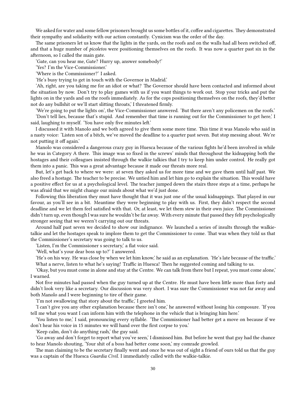We asked for water and some fellow prisoners brought us some bottles of it, coffee and cigarettes. They demonstrated their sympathy and solidarity with our action constantly. Cynicism was the order of the day.

The same prisoners let us know that the lights in the yards, on the roofs and on the walls had all been switched off, and that a huge number of *picoletos* were positioning themselves on the roofs. It was now a quarter past six in the afternoon, so I called the main gate.

'Gate, can you hear me, Gate? Hurry up, answer somebody!'

'Yes? I'm the Vice-Commissioner.'

'Where is the Commissioner?' I asked.

'He's busy trying to get in touch with the Governor in Madrid.'

'Ah, right, are you taking me for an idiot or what? The Governor should have been contacted and informed about the situation by now. Don't try to play games with us if you want things to work out. Stop your tricks and put the lights on in the yards and on the roofs immediately. As for the cops positioning themselves on the roofs, they'd better not do any bullshit or we'll start slitting throats,' I threatened firmly.

'We're going to put the lights on', the Vice-Commissioner answered. 'But there aren't any policemen on the roofs.'

'Don't tell lies, because that's stupid. And remember that time is running out for the Commissioner to get here,' I said, laughing to myself. 'You have only five minutes left.'

I discussed it with Manolo and we both agreed to give them some more time. This time it was Manolo who said in a nasty voice: 'Listen son of a bitch, we've moved the deadline to a quarter past seven. But stop messing about. We're not putting it off again.'

Manolo was considered a dangerous crazy guy in Huesca because of the various fights he'd been involved in while he was in Category A there. This image was so fixed in the screws' minds that throughout the kidnapping both the hostages and their colleagues insisted through the walkie talkies that I try to keep him under control. He really got them into a panic. This was a great advantage because it made our threats more real.

But, let's get back to where we were: at seven they asked us for more time and we gave them until half past. We also freed a hostage. The teacher to be precise. We untied him and let him go to explain the situation. This would have a positive effect for us at a psychological level. The teacher jumped down the stairs three steps at a time, perhaps he was afraid that we might change our minds about what we'd just done.

Following this liberation they must have thought that it was just one of the usual kidnappings. That played in our favour, as you'll see in a bit. Meantime they were beginning to play with us. First, they didn't respect the second deadline and we let them feel satisfied with that. Or, at least, we let them stew in their own juice. The Commissioner didn't turn up, even though I was sure he wouldn't be far away. With every minute that passed they felt psychologically stronger seeing that we weren't carrying out our threats.

Around half past seven we decided to show our indignance. We launched a series of insults through the walkietalkie and let the hostages speak to implore them to get the Commissioner to come. That was when they told us that the Commissioner's secretary was going to talk to us.

'Listen, I'm the Commissioner s secretary,' a flat voice said.

'Well, what's your dear boss up to?' I answered.

'He's on his way. He was close by when we let him know,' he said as an explanation. 'He's late because of the traffic.' What a nerve, listen to what he's saying! Traffic in Huesca! Then he suggested coming and talking to us.

'Okay, but you must come in alone and stay at the Centre. We can talk from there but I repeat, you must come alone,' I warned.

Not five minutes had passed when the guy turned up at the Centre. He must have been little more than forty and didn't look very like a secretary. Our discussion was very short. I was sure the Commissioner was not far away and both Manolo and I were beginning to tire of their game.

'I'm not swallowing that story about the traffic,' I greeted him.

'I can't give you any other explanation because there isn't one,' he answered without losing his composure. 'If you tell me what you want I can inform him with the telephone in the vehicle that is bringing him here.'

'You listen to me,' I said, pronouncing every syllable. 'The Commissioner had better get a move on because if we don't hear his voice in 15 minutes we will hand over the first corpse to you.'

'Keep calm, don't do anything rash,' the guy said.

'Go away and don't forget to report what you've seen,' I dismissed him. But before he went that guy had the chance to hear Manolo shouting, 'Your shit of a boss had better come soon,' my comrade growled.

The man claiming to be the secretary finally went and once he was out of sight a friend of ours told us that the guy was a captain of the Huesca *Guardia Civil.* I immediately called with the walkie-talkie.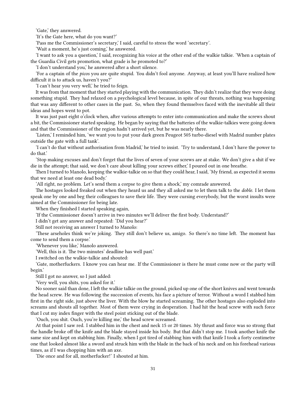'Gate,' they answered.

'It's the Gate here, what do you want?'

'Pass me the Commissioner's secretary,' I said, careful to stress the word 'secretary'.

'Wait a moment, he's just coming,' he answered.

'I want to ask you a question,' I said, recognizing his voice at the other end of the walkie talkie. 'When a captain of the Guardia Civil gets promotion, what grade is he promoted to?'

'I don't understand you,' he answered after a short silence.

'For a captain of the *picos* you are quite stupid. You didn't fool anyone. Anyway, at least you'll have realized how difficult it is to attack us, haven't you?'

'I can't hear you very well,' he tried to feign.

It was from that moment that they started playing with the communication. They didn't realize that they were doing something stupid. They had relaxed on a psychological level because, in spite of our threats, nothing was happening that was any different to other cases in the past. So, when they found themselves faced with the inevitable all their ideas and hopes went to pot.

It was just past eight o'clock when, after various attempts to enter into communication and make the screws shout a bit, the Commissioner started speaking. He began by saying that the batteries of the walkie-talkies were going down and that the Commissioner of the region hadn't arrived yet, but he was nearly there.

'Listen,' I reminded him, 'we want you to put your dark green Peugeot 505 turbo-diesel with Madrid number plates outside the gate with a full tank'.

'I can't do that without authorisation from Madrid,' he tried to insist. 'Try to understand, I don't have the power to do that.'

'Stop making excuses and don't forget that the lives of seven of your screws are at stake. We don't give a shit if we die in the attempt; that said, we don't care about killing your screws either,' I poured out in one breathe.

Then I turned to Manolo, keeping the walkie-talkie on so that they could hear, I said, 'My friend, as expected it seems that we need at least one dead body.'

'All right, no problem. Let's send them a corpse to give them a shock,' my comrade answered.

The hostages looked freaked out when they heard us and they all asked me to let them talk to the *doble*. I let them speak one by one and beg their colleagues to save their life. They were cursing everybody, but the worst insults were aimed at the Commissioner for being late.

When they finished I started speaking again,

'If the Commissioner doesn't arrive in two minutes we'll deliver the first body. Understand?'

I didn't get any answer and repeated: 'Did you hear?'

Still not receiving an answer I turned to Manolo:

'These arseholes think we're joking. They still don't believe us, amigo. So there's no time left. The moment has come to send them a corpse.'

'Whenever you like,' Manolo answered.

'Well, this is it. The two minutes' deadline has well past.'

I switched on the walkie-talkie and shouted:

'Gate, motherfuckers. I know you can hear me. If the Commissioner is there he must come now or the party will begin.'

Still I got no answer, so I just added:

'Very well, you shits, you asked for it.'

No sooner said than done, I left the walkie talkie on the ground, picked up one of the short knives and went towards the head screw. He was following the succession of events, his face a picture of terror. Without a word I stabbed him first in the right side, just above the liver. With the blow he started screaming. The other hostages also exploded into screams and shouts all together. Most of them were crying in desperation. I had hit the head screw with such force that I cut my index finger with the steel point sticking out of the blade.

'Ouch, you shit. Ouch, you're killing me,' the head screw screamed.

At that point I saw red. I stabbed him in the chest and neck 15 or 20 times. My thrust and force was so strong that the handle broke off the knife and the blade stayed inside his body. But that didn't stop me. I took another knife the same size and kept on stabbing him. Finally, when I got tired of stabbing him with that knife I took a forty centimetre one that looked almost like a sword and struck him with the blade in the back of his neck and on his forehead various times, as if I was chopping him with an axe.

'Die once and for all, motherfucker!' I shouted at him.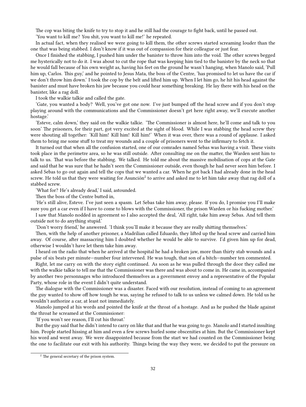The cop was biting the knife to try to stop it and he still had the courage to fight back, until he passed out.

'You want to kill me? You shit, you want to kill me!' he repeated.

In actual fact, when they realised we were going to kill them, the other screws started screaming louder than the one that was being stabbed. I don't know if it was out of compassion for their colleague or just fear.

Once I finished the stabbing, I pushed him under the banister to throw him into the void. The other screws begged me hysterically not to do it. I was about to cut the rope that was keeping him tied to the banister by the neck so that he would fall because of his own weight as, having his feet on the ground he wasn't hanging, when Manolo said, 'Pull him up, Carlos. This guy,' and he pointed to Jesus Mata, the boss of the Centre, 'has promised to let us have the car if we don't throw him down.' I took the cop by the belt and lifted him up. When I let him go, he hit his head against the banister and must have broken his jaw because you could hear something breaking. He lay there with his head on the banister, like a rag doll.

I took the walkie talkie and called the gate.

'Gate, you wanted a body? Well, you've got one now. I've just bumped off the head screw and if you don't stop playing around with the communications and the Commissioner doesn't get here right away, we'll execute another hostage.'

'Esteve, calm down,' they said on the walkie talkie. 'The Commissioner is almost here, he'll come and talk to you soon' The prisoners, for their part, got very excited at the sight of blood. While I was stabbing the head screw they were shouting all together: 'Kill him! Kill him! Kill him!' When it was over, there was a round of applause. I asked them to bring me some stuff to treat my wounds and a couple of prisoners went to the infirmary to fetch it.

It turned out that when all the confusion started, one of our comrades named Sebas was having a visit. These visits took place in the perimetre area, so he was still outside. After consulting me on the matter, the Warden sent him to talk to us. That was before the stabbing. We talked. He told me about the massive mobilisation of cops at the Gate and said that he was sure that he hadn't seen the Commissioner outside, even though he had never seen him before. I asked Sebas to go out again and tell the cops that we wanted a car. When he got back I had already done in the head screw. He told us that they were waiting for Asunción<sup>2</sup> to arrive and asked me to let him take away that rag doll of a stabbed screw.

'What for? He's already dead,' I said, astounded.

Then the boss of the Centre butted in,

'He's still alive, Esteve. I've just seen a spasm. Let Sebas take him away, please. If you do, I promise you I'll make sure you get a car even if I have to come to blows with the Commissioner, the prison Warden or his fucking mother.'

I saw that Manolo nodded in agreement so I also accepted the deal, 'All right, take him away Sebas. And tell them outside not to do anything stupid.'

'Don't worry friend,' he answered. 'I think you'll make it because they are really shitting themselves.'

Then, with the help of another prisoner, a Madrilian called Eduardo, they lifted up the head screw and carried him away. Of course, after massacring him I doubted whether he would be able to survive. I'd given him up for dead, otherwise I wouldn't have let them take him away.

I heard on the radio that when he arrived at the hospital he had a broken jaw, more than thirty stab wounds and a pulse of six beats per minute—number four intervened. He was tough, that son of a bitch—number ten commented.

Right, let me carry on with the story eight continued. As soon as he was pulled through the door they called me with the walkie talkie to tell me that the Commissioner was there and was about to come in. He came in, accompanied by another two personnages who introduced themselves as a government envoy and a representative of the Popular Party, whose role in the event I didn't quite understand.

The dialogue with the Commissioner was a disaster. Faced with our resolution, instead of coming to an agreement the guy wanted to show off how tough he was, saying he refused to talk to us unless we calmed down. He told us he wouldn't authorize a car, at least not immediately.

Manolo jumped at his words and pointed the knife at the throat of a hostage. And as he pushed the blade against the throat he screamed at the Commissioner:

'If you won't see reason, I'll cut his throat.'

But the guy said that he didn't intend to carry on like that and that he was going to go. Manolo and I started insulting him. People started hissing at him and even a few screws hurled some obscenities at him. But the Commissioner kept his word and went away. We were disappointed because from the start we had counted on the Commissioner being the one to facilitate our exit with his authority. Things being the way they were, we decided to put the pressure on

<sup>&</sup>lt;sup>2</sup> The general secretary of the prison system.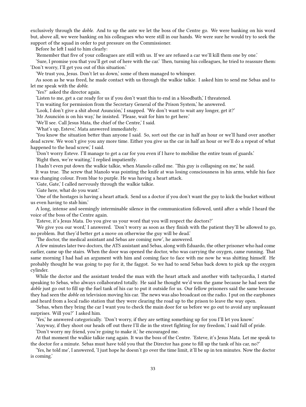exclusively through the *doble*. And to up the ante we let the boss of the Centre go. We were banking on his word but, above all, we were banking on his colleagues who were still in our hands. We were sure he would try to seek the support of the squad in order to put pressure on the Commissioner.

Before he left I said to him clearly:

'Remember that five of your colleagues are still with us. If we are refused a car we'll kill them one by one.'

'Sure, I promise you that you'll get out of here with the car.' Then, turning his colleagues, he tried to reassure them: 'Don't worry, I'll get you out of this situation.'

'We trust you, Jesus. Don't let us down,' some of them managed to whimper.

As soon as he was freed, he made contact with us through the walkie talkie. I asked him to send me Sebas and to let me speak with the *doble*.

'Yes?' asked the director again.

'Listen to me, get a car ready for us if you don't want this to end in a bloodbath,' I threatened.

'I'm waiting for permission from the Secretary General of the Prison System,' he answered.

'Look, I don't give a shit about Asunción,' I snapped. 'We don't want to wait any longer, get it?'

'Mr Asunción is on his way,' he insisted. 'Please, wait for him to get here.'

'We'll see. Call Jesus Mata, the chief of the Centre,' I said.

'What's up, Esteve,' Mata answered immediately.

'You know the situation better than anyone I said. So, sort out the car in half an hour or we'll hand over another dead screw. We won't give you any more time. Either you give us the car in half an hour or we'll do a repeat of what happened to the head screw,' I said.

'Don't worry Esteve. I'll manage to get a car for you even if I have to mobilise the entire team of guards.' 'Right then, we're waiting,' I replied impatiently.

I hadn't even put down the walkie talkie, when Manolo called me. 'This guy is collapsing on me,' he said.

It was true. The screw that Manolo was pointing the knife at was losing consciousness in his arms, while his face was changing colour. From blue to purple. He was having a heart attack.

'Gate, Gate,' I called nervously through the walkie talkie.

'Gate here, what do you want.'

'One of the hostages is having a heart attack. Send us a doctor if you don't want the guy to kick the bucket without us even having to stab him.'

A long, intense and seemingly interminable silence in the communication followed, until after a while I heard the voice of the boss of the Centre again.

'Esteve, it's Jesus Mata. Do you give us your word that you will respect the doctors?'

'We give you our word,' I answered. 'Don't worry as soon as they finish with the patient they'll be allowed to go, no problem. But they'd better get a move on otherwise the guy will be dead.'

'The doctor, the medical assistant and Sebas are coming now', he answered.

A few minutes later two doctors, the ATS assistant and Sebas, along with Eduardo, the other prisoner who had come earlier, came up the stairs. When the door was opened the doctor, who was carrying the oxygen, came running. That same morning I had had an argument with him and coming face to face with me now he was shitting himself. He probably thought he was going to pay for it, the faggot. So we had to send Sebas back down to pick up the oxygen cylinder.

While the doctor and the assistant tended the man with the heart attack and another with tachycardia, I started speaking to Sebas, who always collaborated totally. He said he thought we'd won the game because he had seen the *doble* just go out to fill up the fuel tank of his car to put it outside for us. Our fellow prisoners said the same because they had seen the *doble* on television moving his car. The news was also broadcast on the radio. I put on the earphones and heard from a local radio station that they were clearing the road up to the prison to leave the way open.

'Sebas, when they bring the car I want you to check the main door for us before we go out to avoid any unpleasant surprises. Will you?' I asked him.

'Yes,' he answered categorically. 'Don't worry, if they are setting something up for you I'll let you know.'

'Anyway, if they shoot our heads off out there I'll die in the street fighting for my freedom,' I said full of pride.

'Don't worry my friend, you're going to make it,' he encouraged me.

At that moment the walkie talkie rang again. It was the boss of the Centre. 'Esteve, it's Jesus Mata. Let me speak to the doctor for a minute. Sebas must have told you that the Director has gone to fill up the tank of his car, no?'

'Yes, he told me', I answered, 'I just hope he doesn't go over the time limit, it'll be up in ten minutes. Now the doctor is coming.'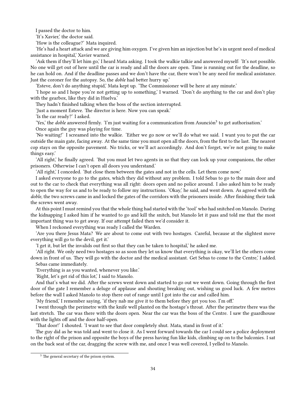I passed the doctor to him.

'It's Xavier,' the doctor said.

'How is the colleague?' Mata inquired.

'He's had a heart attack and we are giving him oxygen. I've given him an injection but he's in urgent need of medical assistance in hospital,' Xavier warned.

'Ask them if they'll let him go,' I heard Mata asking. I took the walkie talkie and answered myself: 'It's not possible. No one will get out of here until the car is ready and all the doors are open. Time is running out for the deadline, so he can hold on. And if the deadline passes and we don't have the car, there won't be any need for medical assistance. Just the coroner for the autopsy. So, the *doble* had better hurry up.'

'Esteve, don't do anything stupid,' Mata kept up. 'The Commissioner will be here at any minute.'

'I hope so and I hope you're not getting up to something,' I warned. 'Don't do anything to the car and don't play with the gearbox, like they did in Huelva.'

They hadn't finished talking when the boss of the section interrupted.

'Just a moment Esteve. The director is here. Now you can speak.'

'Is the car ready?' I asked.

'Yes,' the *doble* answered firmly. 'I'm just waiting for a communication from Asunción<sup>3</sup> to get authorisation.'

Once again the guy was playing for time.

'No waiting!' I screamed into the walkie. 'Either we go now or we'll do what we said. I want you to put the car outside the main gate, facing away. At the same time you must open all the doors, from the first to the last. The nearest cop stays on the opposite pavement. No tricks, or we'll act accordingly. And don't forget, we're not going to make things easy.'

'All right,' he finally agreed. 'But you must let two agents in so that they can lock up your companions, the other prisoners. Otherwise I can't open all doors you understand.'

'All right,' I conceded. 'But close them between the gates and not in the cells. Let them come now.'

I asked everyone to go to the gates, which they did without any problem. I told Sebas to go to the main door and out to the car to check that everything was all right: doors open and no police around. I also asked him to be ready to open the way for us and to be ready to follow my instructions. 'Okay,' he said, and went down. As agreed with the *doble*, the two screws came in and locked the gates of the corridors with the prisoners inside. After finishing their task the screws went away.

At this point I must remind you that the whole thing had started with the 'tool' who had snitched on Manolo. During the kidnapping I asked him if he wanted to go and kill the snitch, but Manolo let it pass and told me that the most important thing was to get away. If our attempt failed then we'd consider it.

When I reckoned everything was ready I called the Warden.

'Are you there Jesus Mata? We are about to come out with two hostages. Careful, because at the slightest move everything will go to the devil, get it.'

'I get it, but let the invalids out first so that they can be taken to hospital,' he asked me.

'All right. We only need two hostages so as soon they let us know that everything is okay, we'll let the others come down in front of us. They will go with the doctor and the medical assistant. Get Sebas to come to the Centre,' I added.

Sebas came immediately.

'Everything is as you wanted, whenever you like.'

'Right, let's get rid of this lot,' I said to Manolo.

And that's what we did. After the screws went down and started to go out we went down. Going through the first door of the gate I remember a deluge of applause and shouting breaking out, wishing us good luck. A few metres before the wall I asked Manolo to stop there out of range until I got into the car and called him.

'My friend,' I remember saying, 'if they nab me give it to them before they get you too. I'm off.'

I went through the perimetre with the knife well planted on the hostage's throat. After the perimetre there was the last stretch. The car was there with the doors open. Near the car was the boss of the Centre. I saw the guardhouse with the lights off and the door half-open.

'That door!' I shouted. 'I want to see that door completely shut. Mata, stand in front of it.'

The guy did as he was told and went to close it. As I went forward towards the car I could see a police deployment to the right of the prison and opposite the boys of the press having fun like kids, climbing up on to the balconies. I sat on the back seat of the car, dragging the screw with me, and once I was well covered, I yelled to Manolo.

<sup>&</sup>lt;sup>3</sup> The general secretary of the prison system.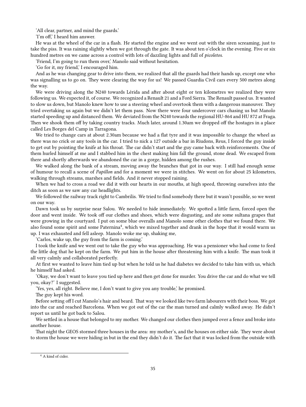'All clear, partner, and mind the guards.'

'I'm off,' I heard him answer.

He was at the wheel of the car in a flash. He started the engine and we went out with the siren screaming, just to take the piss. It was raining slightly when we got through the gate. It was about ten o'clock in the evening. Five or six hundred metres on we came across a control with lots of dazzling lights and full of *picoletos*.

'Friend, I'm going to run them over,' Manolo said without hesitation.

'Go for it, my friend,' I encouraged him.

And as he was changing gear to drive into them, we realized that all the guards had their hands up, except one who was signalling us to go on. They were clearing the way for us! We passed Guardia Civil cars every 500 metres along the way.

We were driving along the N240 towards Lérida and after about eight or ten kilometres we realized they were following us. We expected it, of course. We recognized a Renault 21 and a Ford Sierra. The Renault passed us. It wanted to slow us down, but Manolo knew how to use a steering wheel and overtook them with a dangerous manouver. They tried overtaking us again but we didn't let them pass. Now there were four undercover cars chasing us but Manolo started speeding up and distanced them. We deviated from the N240 towards the regional HU-864 and HU 872 at Fraga. Then we shook them off by taking country tracks. Much later, around 1.30am we dropped off the hostages in a place called Les Borges del Camp in Tarragona.

We tried to change cars at about 2.30am because we had a flat tyre and it was impossible to change the wheel as there was no crick or any tools in the car. I tried to nick a 127 outside a bar in Riudons, Reus, I forced the guy inside to get out by pointing the knife at his throat. The car didn't start and the guy came back with reinforcements. One of them hurled himself at me and I stabbed him in the chest making him fall the ground, stone dead. We escaped from there and shortly afterwards we abandoned the car in a gorge, hidden among the rushes.

We walked along the bank of a stream, moving away the branches that got in our way. I still had enough sense of humour to recall a scene of *Papillon* and for a moment we were in stitches. We went on for about 25 kilometres, walking through streams, marshes and fields. And it never stopped raining.

When we had to cross a road we did it with our hearts in our mouths, at high speed, throwing ourselves into the ditch as soon as we saw any car headlights.

We followed the railway track right to Cambrilis. We tried to find somebody there but it wasn't possible, so we went on our way.

Dawn took us by surprise near Salou. We needed to hide immediately. We spotted a little farm, forced open the door and went inside. We took off our clothes and shoes, which were disgusting, and ate some sultana grapes that were growing in the courtyard. I put on some blue overalls and Manolo some other clothes that we found there. We also found some spirit and some Paternina<sup>4</sup>, which we mixed together and drank in the hope that it would warm us up. I was exhausted and fell asleep. Manolo woke me up, shaking me,

'Carlos, wake up, the guy from the farm is coming.'

I took the knife and we went out to take the guy who was approaching. He was a pensioner who had come to feed the little dog that he kept on the farm. We put him in the house after threatening him with a knife. The man took it all very calmly and collaborated perfectly.

At first we wanted to leave him tied up but when he told us he had diabetes we decided to take him with us, which he himself had asked.

'Okay, we don't want to leave you tied up here and then get done for murder. You drive the car and do what we tell you, okay?' I suggested.

'Yes, yes, all right. Believe me, I don't want to give you any trouble,' he promised.

The guy kept his word.

Before setting off I cut Manolo's hair and beard. That way we looked like two farm labourers with their boss. We got into the car and reached Barcelona. When we got out of the car the man turned and calmly walked away. He didn't report us until he got back to Salou.

We settled in a house that belonged to my mother. We changed our clothes then jumped over a fence and broke into another house.

That night the GEOS stormed three houses in the area: my mother's, and the houses on either side. They were about to storm the house we were hiding in but in the end they didn't do it. The fact that it was locked from the outside with

<sup>4</sup> A kind of cider.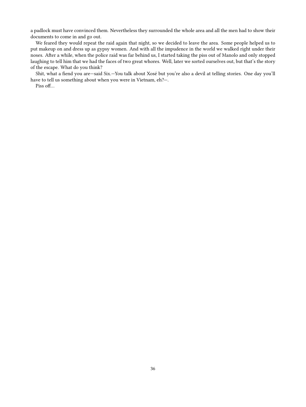a padlock must have convinced them. Nevertheless they surrounded the whole area and all the men had to show their documents to come in and go out.

We feared they would repeat the raid again that night, so we decided to leave the area. Some people helped us to put makeup on and dress up as gypsy women. And with all the impudence in the world we walked right under their noses. After a while, when the police raid was far behind us, I started taking the piss out of Manolo and only stopped laughing to tell him that we had the faces of two great whores. Well, later we sorted ourselves out, but that's the story of the escape. What do you think?

Shit, what a fiend you are—said Six.—You talk about Xosé but you're also a devil at telling stories. One day you'll have to tell us something about when you were in Vietnam, eh?—.

Piss off…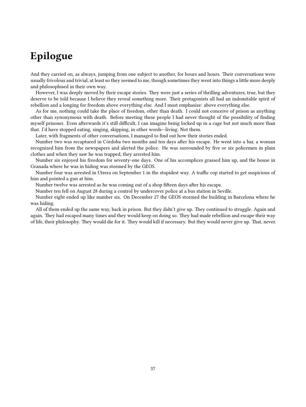# <span id="page-36-0"></span>**Epilogue**

And they carried on, as always, jumping from one subject to another, for hours and hours. Their conversations were usually frivolous and trivial, at least so they seemed to me, though sometimes they went into things a little more deeply and philosophised in their own way.

However, I was deeply moved by their escape stories. They were just a series of thrilling adventures, true, but they deserve to be told because I believe they reveal something more. Their protagonists all had an indomitable spirit of rebellion and a longing for freedom above everything else. And I must emphasize: above everything else.

As for me, nothing could take the place of freedom, other than death. I could not conceive of prison as anything other than synonymous with death. Before meeting these people I had never thought of the possibility of finding myself prisoner. Even afterwards it's still difficult, I can imagine being locked up in a cage but not much more than that. I'd have stopped eating, singing, skipping, in other words—living. Not them.

Later, with fragments of other conversations, I managed to find out how their stories ended.

Number two was recaptured in Córdoba two months and ten days after his escape. He went into a bar, a woman recognized him from the newspapers and alerted the police. He was surrounded by five or six policemen in plain clothes and when they saw he was trapped, they arrested him.

Number six enjoyed his freedom for seventy-one days. One of his accomplices grassed him up, and the house in Granada where he was in hiding was stormed by the GEOS.

Number four was arrested in Utrera on September 1 in the stupidest way. A traffic cop started to get suspicious of him and pointed a gun at him.

Number twelve was arrested as he was coming out of a shop fifteen days after his escape.

Number ten fell on August 28 during a control by undercover police at a bus station in Seville.

Number eight ended up like number six. On December 27 the GEOS stormed the building in Barcelona where he was hiding.

All of them ended up the same way, back in prison. But they didn't give up. They continued to struggle. Again and again. They had escaped many times and they would keep on doing so. They had made rebellion and escape their way of life, their philosophy. They would die for it. They would kill if necessary. But they would never give up. That, never.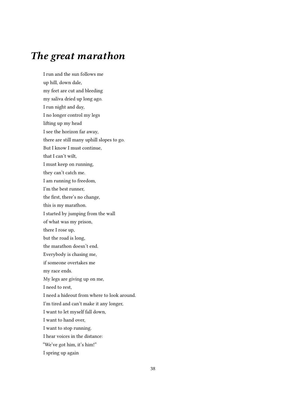### <span id="page-37-0"></span>*The great marathon*

I run and the sun follows me up hill, down dale, my feet are cut and bleeding my saliva dried up long ago. I run night and day, I no longer control my legs lifting up my head I see the horizon far away, there are still many uphill slopes to go. But I know I must continue, that I can't wilt, I must keep on running, they can't catch me. I am running to freedom, I'm the best runner, the first, there's no change, this is my marathon. I started by jumping from the wall of what was my prison, there I rose up, but the road is long, the marathon doesn't end. Everybody is chasing me, if someone overtakes me my race ends. My legs are giving up on me, I need to rest, I need a hideout from where to look around. I'm tired and can't make it any longer, I want to let myself fall down, I want to hand over, I want to stop running. I hear voices in the distance: "We've got him, it's him!" I spring up again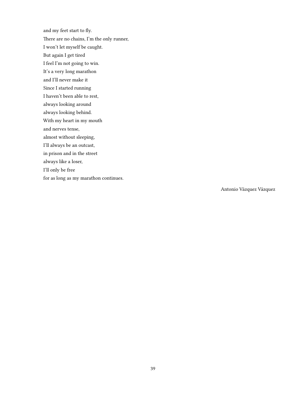and my feet start to fly. There are no chains, I'm the only runner, I won't let myself be caught. But again I get tired I feel I'm not going to win. It's a very long marathon and I'll never make it Since I started running I haven't been able to rest, always looking around always looking behind. With my heart in my mouth and nerves tense, almost without sleeping, I'll always be an outcast, in prison and in the street always like a loser, I'll only be free for as long as my marathon continues.

Antonio Vázquez Vázquez